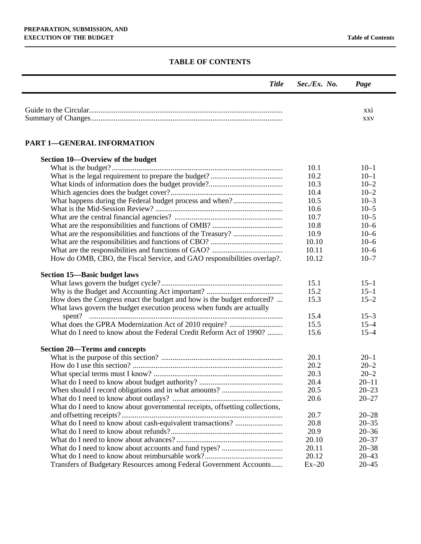## **TABLE OF CONTENTS**

| <b>Title</b>                                                                | Sec./Ex. No. | Page       |
|-----------------------------------------------------------------------------|--------------|------------|
|                                                                             |              | XX1        |
|                                                                             |              | <b>XXV</b> |
|                                                                             |              |            |
| <b>PART 1-GENERAL INFORMATION</b>                                           |              |            |
| Section 10—Overview of the budget                                           |              |            |
|                                                                             | 10.1         | $10 - 1$   |
|                                                                             | 10.2         | $10 - 1$   |
|                                                                             | 10.3         | $10 - 2$   |
|                                                                             | 10.4         | $10 - 2$   |
| What happens during the Federal budget process and when?                    | 10.5         | $10 - 3$   |
|                                                                             | 10.6         | $10 - 5$   |
|                                                                             | 10.7         | $10 - 5$   |
|                                                                             | 10.8         | $10 - 6$   |
|                                                                             | 10.9         | $10 - 6$   |
|                                                                             | 10.10        | $10 - 6$   |
|                                                                             | 10.11        | $10 - 6$   |
| How do OMB, CBO, the Fiscal Service, and GAO responsibilities overlap?.     | 10.12        | $10 - 7$   |
| <b>Section 15-Basic budget laws</b>                                         |              |            |
|                                                                             | 15.1         | $15 - 1$   |
|                                                                             | 15.2         | $15 - 1$   |
| How does the Congress enact the budget and how is the budget enforced?      | 15.3         | $15 - 2$   |
| What laws govern the budget execution process when funds are actually       |              |            |
|                                                                             | 15.4         | $15 - 3$   |
|                                                                             | 15.5         | $15 - 4$   |
| What do I need to know about the Federal Credit Reform Act of 1990?         | 15.6         | $15 - 4$   |
| <b>Section 20–Terms and concepts</b>                                        |              |            |
|                                                                             | 20.1         | $20 - 1$   |
|                                                                             | 20.2         | $20 - 2$   |
|                                                                             | 20.3         | $20 - 2$   |
|                                                                             | 20.4         | $20 - 11$  |
|                                                                             | 20.5         | $20 - 23$  |
|                                                                             | 20.6         | $20 - 27$  |
| What do I need to know about governmental receipts, offsetting collections, |              |            |
|                                                                             | 20.7         | $20 - 28$  |
|                                                                             | 20.8         | $20 - 35$  |
|                                                                             | 20.9         | $20 - 36$  |
|                                                                             | 20.10        | $20 - 37$  |
|                                                                             | 20.11        | $20 - 38$  |
|                                                                             | 20.12        | $20 - 43$  |
| Transfers of Budgetary Resources among Federal Government Accounts          | $Ex-20$      | $20 - 45$  |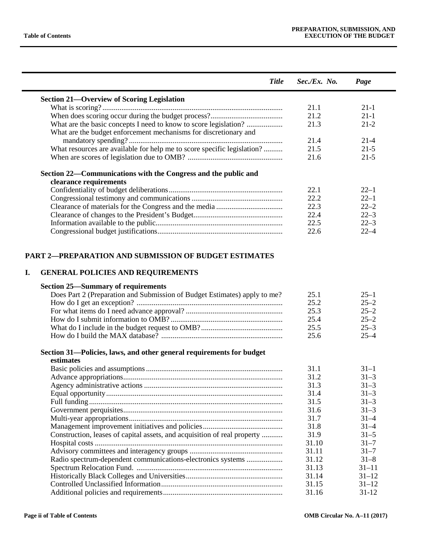÷

|    | <b>Title</b>                                                              | Sec./Ex. No. | Page      |
|----|---------------------------------------------------------------------------|--------------|-----------|
|    | <b>Section 21-Overview of Scoring Legislation</b>                         |              |           |
|    |                                                                           | 21.1         | $21-1$    |
|    |                                                                           | 21.2         | $21-1$    |
|    | What are the basic concepts I need to know to score legislation?          | 21.3         | $21 - 2$  |
|    | What are the budget enforcement mechanisms for discretionary and          |              |           |
|    |                                                                           | 21.4         | $21-4$    |
|    | What resources are available for help me to score specific legislation?   | 21.5         | $21 - 5$  |
|    |                                                                           | 21.6         | $21 - 5$  |
|    | Section 22—Communications with the Congress and the public and            |              |           |
|    | clearance requirements                                                    |              |           |
|    |                                                                           | 22.1         | $22 - 1$  |
|    |                                                                           | 22.2         | $22 - 1$  |
|    |                                                                           | 22.3         | $22 - 2$  |
|    |                                                                           | 22.4         | $22 - 3$  |
|    |                                                                           | 22.5         | $22 - 3$  |
|    |                                                                           | 22.6         | $22 - 4$  |
|    | <b>PART 2—PREPARATION AND SUBMISSION OF BUDGET ESTIMATES</b>              |              |           |
| I. | <b>GENERAL POLICIES AND REQUIREMENTS</b>                                  |              |           |
|    | <b>Section 25—Summary of requirements</b>                                 |              |           |
|    | Does Part 2 (Preparation and Submission of Budget Estimates) apply to me? | 25.1         | $25 - 1$  |
|    |                                                                           | 25.2         | $25 - 2$  |
|    |                                                                           | 25.3         | $25 - 2$  |
|    |                                                                           | 25.4         | $25 - 2$  |
|    |                                                                           | 25.5         | $25 - 3$  |
|    |                                                                           | 25.6         | $25 - 4$  |
|    | Section 31-Policies, laws, and other general requirements for budget      |              |           |
|    | estimates                                                                 |              |           |
|    |                                                                           | 31.1         | $31 - 1$  |
|    |                                                                           | 31.2         | $31 - 3$  |
|    |                                                                           | 31.3         | $31 - 3$  |
|    |                                                                           | 31.4         | $31 - 3$  |
|    |                                                                           | 31.5         | $31 - 3$  |
|    |                                                                           | 31.6         | $31 - 3$  |
|    |                                                                           | 31.7         | $31 - 4$  |
|    |                                                                           | 31.8         | $31 - 4$  |
|    | Construction, leases of capital assets, and acquisition of real property  | 31.9         | $31 - 5$  |
|    |                                                                           | 31.10        | $31 - 7$  |
|    |                                                                           | 31.11        | $31 - 7$  |
|    | Radio spectrum-dependent communications-electronics systems               | 31.12        | $31 - 8$  |
|    |                                                                           | 31.13        | $31 - 11$ |
|    |                                                                           | 31.14        | $31 - 12$ |
|    |                                                                           | 31.15        | $31 - 12$ |
|    |                                                                           | 31.16        | $31 - 12$ |
|    |                                                                           |              |           |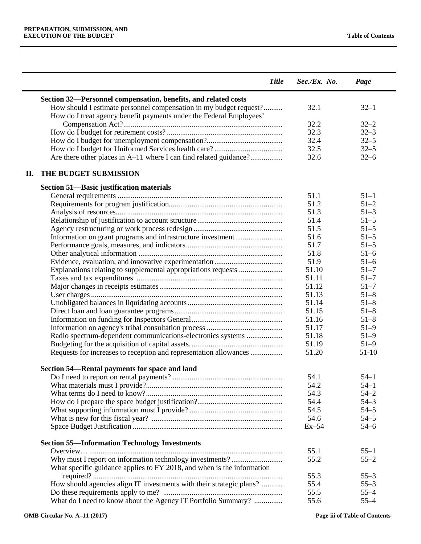|    | <b>Title</b>                                                                                                                              | $Sec./Ex.$ No. | Page     |
|----|-------------------------------------------------------------------------------------------------------------------------------------------|----------------|----------|
|    | Section 32—Personnel compensation, benefits, and related costs                                                                            |                |          |
|    | How should I estimate personnel compensation in my budget request?<br>How do I treat agency benefit payments under the Federal Employees' | 32.1           | $32 - 1$ |
|    |                                                                                                                                           | 32.2           | $32 - 2$ |
|    |                                                                                                                                           | 32.3           | $32 - 3$ |
|    |                                                                                                                                           | 32.4           | $32 - 5$ |
|    |                                                                                                                                           | 32.5           | $32 - 5$ |
|    | Are there other places in A–11 where I can find related guidance?                                                                         | 32.6           | $32 - 6$ |
| П. | THE BUDGET SUBMISSION                                                                                                                     |                |          |
|    | <b>Section 51—Basic justification materials</b>                                                                                           |                |          |
|    |                                                                                                                                           | 51.1           | $51 - 1$ |
|    |                                                                                                                                           | 51.2           | $51 - 2$ |
|    |                                                                                                                                           | 51.3           | $51 - 3$ |
|    |                                                                                                                                           | 51.4           | $51 - 5$ |
|    |                                                                                                                                           | 51.5           | $51 - 5$ |
|    | Information on grant programs and infrastructure investment                                                                               | 51.6           | $51 - 5$ |
|    |                                                                                                                                           | 51.7           | $51 - 5$ |
|    |                                                                                                                                           | 51.8           | $51 - 6$ |
|    |                                                                                                                                           | 51.9           | $51 - 6$ |
|    | Explanations relating to supplemental appropriations requests                                                                             | 51.10          | $51 - 7$ |
|    |                                                                                                                                           | 51.11          | $51 - 7$ |
|    |                                                                                                                                           | 51.12          | $51 - 7$ |
|    |                                                                                                                                           | 51.13          | $51 - 8$ |
|    |                                                                                                                                           | 51.14          | $51 - 8$ |
|    |                                                                                                                                           | 51.15          | $51 - 8$ |
|    |                                                                                                                                           | 51.16          | $51 - 8$ |
|    |                                                                                                                                           | 51.17          | $51 - 9$ |
|    | Radio spectrum-dependent communications-electronics systems                                                                               | 51.18          | $51 - 9$ |
|    |                                                                                                                                           | 51.19          | $51 - 9$ |
|    | Requests for increases to reception and representation allowances                                                                         | 51.20          | $51-10$  |
|    | Section 54-Rental payments for space and land                                                                                             |                |          |
|    |                                                                                                                                           | 54.1           | $54 - 1$ |
|    |                                                                                                                                           | 54.2           | $54 - 1$ |
|    |                                                                                                                                           | 54.3           | $54 - 2$ |
|    |                                                                                                                                           | 54.4           | $54 - 3$ |
|    |                                                                                                                                           | 54.5           | $54 - 5$ |
|    |                                                                                                                                           | 54.6           | $54 - 5$ |
|    |                                                                                                                                           | $Ex-54$        | $54 - 6$ |
|    | <b>Section 55-Information Technology Investments</b>                                                                                      |                |          |
|    |                                                                                                                                           | 55.1           | $55 - 1$ |
|    |                                                                                                                                           | 55.2           | $55 - 2$ |
|    | What specific guidance applies to FY 2018, and when is the information                                                                    |                |          |
|    |                                                                                                                                           | 55.3           | $55 - 3$ |
|    | How should agencies align IT investments with their strategic plans?                                                                      | 55.4           | $55 - 3$ |
|    |                                                                                                                                           | 55.5           | $55 - 4$ |
|    | What do I need to know about the Agency IT Portfolio Summary?                                                                             | 55.6           | $55 - 4$ |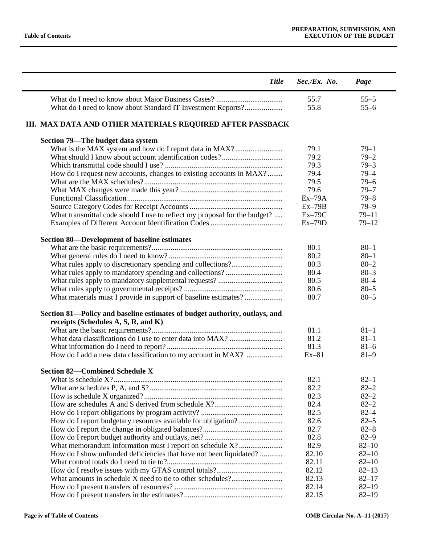| <b>Title</b>                                                               | Sec./Ex. No. | Page                   |
|----------------------------------------------------------------------------|--------------|------------------------|
|                                                                            | 55.7         | $55 - 5$               |
| What do I need to know about Standard IT Investment Reports?               | 55.8         | $55 - 6$               |
| III. MAX DATA AND OTHER MATERIALS REQUIRED AFTER PASSBACK                  |              |                        |
| Section 79-The budget data system                                          |              |                        |
| What is the MAX system and how do I report data in MAX?                    | 79.1         | $79 - 1$               |
|                                                                            | 79.2         | $79 - 2$               |
|                                                                            | 79.3         | $79 - 3$               |
| How do I request new accounts, changes to existing accounts in MAX?        | 79.4         | $79 - 4$               |
|                                                                            | 79.5         | $79 - 6$               |
|                                                                            | 79.6         | $79 - 7$               |
|                                                                            | $Ex-79A$     | $79 - 8$               |
|                                                                            | $Ex-79B$     | $79 - 9$               |
| What transmittal code should I use to reflect my proposal for the budget?  | $Ex-79C$     | $79 - 11$              |
|                                                                            | $Ex-79D$     | $79 - 12$              |
| <b>Section 80—Development of baseline estimates</b>                        |              |                        |
|                                                                            | 80.1         | $80 - 1$               |
|                                                                            | 80.2         | $80 - 1$               |
|                                                                            | 80.3         | $80 - 2$               |
|                                                                            | 80.4         | $80 - 3$               |
|                                                                            | 80.5         | $80 - 4$               |
|                                                                            | 80.6         | $80 - 5$               |
| What materials must I provide in support of baseline estimates?            | 80.7         | $80 - 5$               |
| Section 81-Policy and baseline estimates of budget authority, outlays, and |              |                        |
| receipts (Schedules A, S, R, and K)                                        |              |                        |
|                                                                            | 81.1         | $81 - 1$               |
|                                                                            | 81.2         | $81 - 1$               |
|                                                                            | 81.3         | $81 - 6$               |
| How do I add a new data classification to my account in MAX?               | $Ex-81$      | $81 - 9$               |
|                                                                            |              |                        |
| <b>Section 82-Combined Schedule X</b>                                      |              |                        |
|                                                                            | 82.1         | $82 - 1$               |
|                                                                            | 82.2         | $82 - 2$               |
|                                                                            | 82.3         | $82 - 2$               |
|                                                                            | 82.4         | $82 - 2$               |
|                                                                            | 82.5         | $82 - 4$               |
|                                                                            | 82.6         | $82 - 5$               |
|                                                                            | 82.7<br>82.8 | $82 - 8$               |
|                                                                            | 82.9         | $82 - 9$<br>$82 - 10$  |
| What memorandum information must I report on schedule X?                   | 82.10        | $82 - 10$              |
| How do I show unfunded deficiencies that have not been liquidated?         | 82.11        |                        |
|                                                                            | 82.12        | $82 - 10$<br>$82 - 13$ |
|                                                                            | 82.13        | $82 - 17$              |
|                                                                            | 82.14        | $82 - 19$              |
|                                                                            | 82.15        |                        |
|                                                                            |              | $82 - 19$              |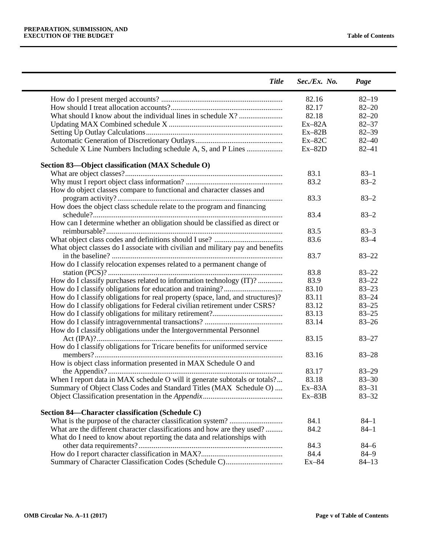| <b>Title</b>                                                                   | $Sec./Ex.$ No. | Page      |
|--------------------------------------------------------------------------------|----------------|-----------|
|                                                                                | 82.16          | $82 - 19$ |
|                                                                                | 82.17          | $82 - 20$ |
|                                                                                | 82.18          | $82 - 20$ |
|                                                                                | $Ex-82A$       | $82 - 37$ |
|                                                                                | $Ex-82B$       | $82 - 39$ |
|                                                                                | $Ex-82C$       | $82 - 40$ |
| Schedule X Line Numbers Including schedule A, S, and P Lines                   | $Ex-82D$       | $82 - 41$ |
| Section 83-Object classification (MAX Schedule O)                              |                |           |
|                                                                                | 83.1           | $83 - 1$  |
|                                                                                | 83.2           | $83 - 2$  |
| How do object classes compare to functional and character classes and          |                |           |
|                                                                                | 83.3           | $83 - 2$  |
| How does the object class schedule relate to the program and financing         |                |           |
|                                                                                | 83.4           | $83 - 2$  |
| How can I determine whether an obligation should be classified as direct or    |                |           |
|                                                                                | 83.5           | $83 - 3$  |
|                                                                                | 83.6           | $83 - 4$  |
| What object classes do I associate with civilian and military pay and benefits |                |           |
|                                                                                | 83.7           | $83 - 22$ |
| How do I classify relocation expenses related to a permanent change of         |                |           |
|                                                                                | 83.8           | $83 - 22$ |
| How do I classify purchases related to information technology (IT)?            | 83.9           | $83 - 22$ |
|                                                                                | 83.10          | $83 - 23$ |
| How do I classify obligations for real property (space, land, and structures)? | 83.11          | $83 - 24$ |
| How do I classify obligations for Federal civilian retirement under CSRS?      | 83.12          | $83 - 25$ |
|                                                                                | 83.13          | $83 - 25$ |
|                                                                                | 83.14          | $83 - 26$ |
|                                                                                |                |           |
| How do I classify obligations under the Intergovernmental Personnel            |                | $83 - 27$ |
|                                                                                | 83.15          |           |
| How do I classify obligations for Tricare benefits for uniformed service       |                |           |
|                                                                                | 83.16          | $83 - 28$ |
| How is object class information presented in MAX Schedule O and                |                |           |
|                                                                                | 83.17          | $83 - 29$ |
| When I report data in MAX schedule O will it generate subtotals or totals?     | 83.18          | $83 - 30$ |
| Summary of Object Class Codes and Standard Titles (MAX Schedule O)             | $Ex-83A$       | $83 - 31$ |
|                                                                                | $Ex-83B$       | $83 - 32$ |
| Section 84—Character classification (Schedule C)                               |                |           |
|                                                                                | 84.1           | $84 - 1$  |
| What are the different character classifications and how are they used?        | 84.2           | $84 - 1$  |
| What do I need to know about reporting the data and relationships with         |                |           |
|                                                                                | 84.3           | $84 - 6$  |
|                                                                                | 84.4           | $84 - 9$  |
|                                                                                | $Ex-84$        | $84 - 13$ |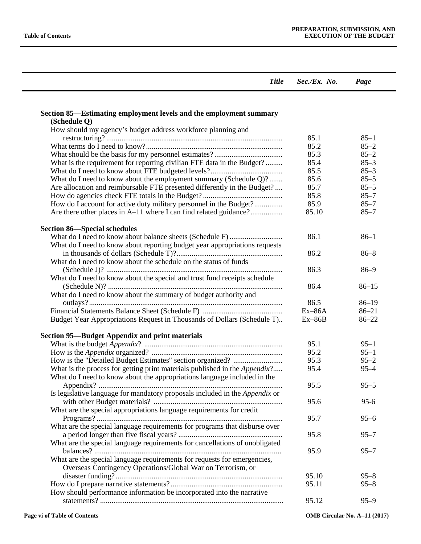| <b>Title</b>                                                                                                                                                   | $Sec./Ex.$ No. | Page                 |
|----------------------------------------------------------------------------------------------------------------------------------------------------------------|----------------|----------------------|
|                                                                                                                                                                |                |                      |
| Section 85—Estimating employment levels and the employment summary<br>(Schedule Q)                                                                             |                |                      |
| How should my agency's budget address workforce planning and                                                                                                   | 85.1           | $85 - 1$             |
|                                                                                                                                                                | 85.2           | $85 - 2$             |
|                                                                                                                                                                | 85.3           | $85 - 2$             |
| What is the requirement for reporting civilian FTE data in the Budget?                                                                                         | 85.4           | $85 - 3$             |
|                                                                                                                                                                | 85.5           | $85 - 3$             |
| What do I need to know about the employment summary (Schedule Q)?                                                                                              | 85.6           | $85 - 5$             |
| Are allocation and reimbursable FTE presented differently in the Budget?                                                                                       | 85.7           | $85 - 5$             |
|                                                                                                                                                                | 85.8           | $85 - 7$             |
| How do I account for active duty military personnel in the Budget?                                                                                             | 85.9           | $85 - 7$             |
| Are there other places in A-11 where I can find related guidance?                                                                                              | 85.10          | $85 - 7$             |
| <b>Section 86—Special schedules</b>                                                                                                                            |                |                      |
| What do I need to know about reporting budget year appropriations requests                                                                                     | 86.1           | $86 - 1$             |
|                                                                                                                                                                | 86.2           | $86 - 8$             |
| What do I need to know about the schedule on the status of funds                                                                                               | 86.3           | $86 - 9$             |
| What do I need to know about the special and trust fund receipts schedule                                                                                      |                |                      |
|                                                                                                                                                                | 86.4           | $86 - 15$            |
| What do I need to know about the summary of budget authority and                                                                                               | 86.5           | $86 - 19$            |
|                                                                                                                                                                | $Ex-86A$       | $86 - 21$            |
| Budget Year Appropriations Request in Thousands of Dollars (Schedule T)                                                                                        | $Ex-86B$       | $86 - 22$            |
| <b>Section 95—Budget Appendix and print materials</b>                                                                                                          |                |                      |
|                                                                                                                                                                | 95.1           | $95 - 1$             |
|                                                                                                                                                                | 95.2           | $95 - 1$             |
|                                                                                                                                                                | 95.3           | $95 - 2$             |
| What is the process for getting print materials published in the <i>Appendix</i> ?<br>What do I need to know about the appropriations language included in the | 95.4           | $95 - 4$             |
| Is legislative language for mandatory proposals included in the Appendix or                                                                                    | 95.5           | $95 - 5$             |
| What are the special appropriations language requirements for credit                                                                                           | 95.6           | $95 - 6$             |
|                                                                                                                                                                | 95.7           | $95 - 6$             |
| What are the special language requirements for programs that disburse over                                                                                     | 95.8           | $95 - 7$             |
| What are the special language requirements for cancellations of unobligated                                                                                    |                |                      |
|                                                                                                                                                                | 95.9           | $95 - 7$             |
| What are the special language requirements for requests for emergencies,                                                                                       |                |                      |
| Overseas Contingency Operations/Global War on Terrorism, or                                                                                                    | 95.10          |                      |
|                                                                                                                                                                | 95.11          | $95 - 8$<br>$95 - 8$ |
| How should performance information be incorporated into the narrative                                                                                          |                |                      |
|                                                                                                                                                                | 95.12          | $95 - 9$             |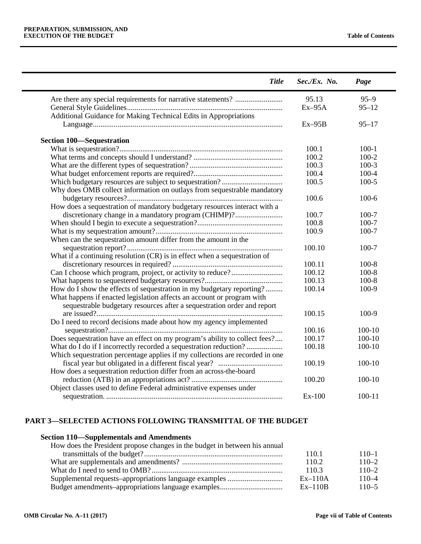$\overline{\phantom{0}}$ 

| <b>Title</b>                                                                 | $Sec./Ex.$ No.   | Page       |
|------------------------------------------------------------------------------|------------------|------------|
| Are there any special requirements for narrative statements?                 | 95.13            | $95 - 9$   |
|                                                                              | $Ex-95A$         | $95 - 12$  |
| Additional Guidance for Making Technical Edits in Appropriations             |                  |            |
|                                                                              | $Ex-95B$         | $95 - 17$  |
| <b>Section 100–Sequestration</b>                                             |                  |            |
|                                                                              | 100.1            | $100-1$    |
|                                                                              | 100.2            | $100 - 2$  |
|                                                                              | 100.3            | $100-3$    |
|                                                                              | 100.4            | $100 - 4$  |
|                                                                              | 100.5            | $100 - 5$  |
| Why does OMB collect information on outlays from sequestrable mandatory      |                  |            |
|                                                                              | 100.6            | $100 - 6$  |
| How does a sequestration of mandatory budgetary resources interact with a    |                  |            |
| discretionary change in a mandatory program (CHIMP)?                         | 100.7            | $100 - 7$  |
|                                                                              | 100.8            | $100 - 7$  |
|                                                                              | 100.9            | $100 - 7$  |
|                                                                              |                  |            |
| When can the sequestration amount differ from the amount in the              | 100.10           | $100 - 7$  |
|                                                                              |                  |            |
| What if a continuing resolution (CR) is in effect when a sequestration of    |                  |            |
|                                                                              | 100.11<br>100.12 | $100 - 8$  |
|                                                                              |                  | $100 - 8$  |
|                                                                              | 100.13           | $100 - 8$  |
| How do I show the effects of sequestration in my budgetary reporting?        | 100.14           | 100-9      |
| What happens if enacted legislation affects an account or program with       |                  |            |
| sequestrable budgetary resources after a sequestration order and report      |                  |            |
|                                                                              | 100.15           | 100-9      |
| Do I need to record decisions made about how my agency implemented           |                  |            |
|                                                                              | 100.16           | 100-10     |
| Does sequestration have an effect on my program's ability to collect fees?   | 100.17           | $100-10$   |
| What do I do if I incorrectly recorded a sequestration reduction?            | 100.18           | 100-10     |
| Which sequestration percentage applies if my collections are recorded in one |                  |            |
|                                                                              | 100.19           | 100-10     |
| How does a sequestration reduction differ from an across-the-board           |                  |            |
|                                                                              | 100.20           | $100 - 10$ |
| Object classes used to define Federal administrative expenses under          |                  |            |
|                                                                              | Ex-100           | $100 - 11$ |

## **PART 3—SELECTED ACTIONS FOLLOWING TRANSMITTAL OF THE BUDGET**

## **Section 110—Supplementals and Amendments**

| How does the President propose changes in the budget in between his annual |           |           |
|----------------------------------------------------------------------------|-----------|-----------|
|                                                                            | 110.1     | $110 - 1$ |
|                                                                            | 110.2     | $110 - 2$ |
|                                                                            | 110.3     | $110 - 2$ |
|                                                                            | $Ex-110A$ | $110 - 4$ |
|                                                                            | $Ex-110B$ | $110 - 5$ |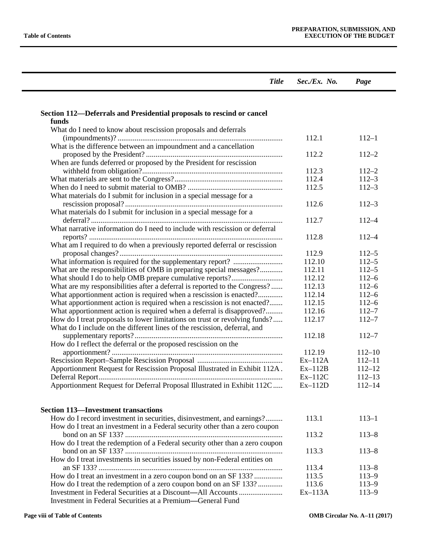$\overline{a}$ 

| <b>Title</b>                                                                 | $Sec./Ex.$ No. | Page       |
|------------------------------------------------------------------------------|----------------|------------|
|                                                                              |                |            |
| Section 112-Deferrals and Presidential proposals to rescind or cancel        |                |            |
| funds                                                                        |                |            |
| What do I need to know about rescission proposals and deferrals              |                |            |
|                                                                              | 112.1          | $112 - 1$  |
| What is the difference between an impoundment and a cancellation             |                |            |
|                                                                              | 112.2          | $112 - 2$  |
| When are funds deferred or proposed by the President for rescission          |                |            |
|                                                                              | 112.3          | $112 - 2$  |
|                                                                              | 112.4          | $112 - 3$  |
|                                                                              | 112.5          | $112 - 3$  |
| What materials do I submit for inclusion in a special message for a          |                |            |
|                                                                              | 112.6          | $112 - 3$  |
| What materials do I submit for inclusion in a special message for a          |                |            |
|                                                                              | 112.7          | $112 - 4$  |
| What narrative information do I need to include with rescission or deferral  |                |            |
|                                                                              | 112.8          | $112 - 4$  |
|                                                                              |                |            |
| What am I required to do when a previously reported deferral or rescission   |                |            |
|                                                                              | 112.9          | $112 - 5$  |
|                                                                              | 112.10         | $112 - 5$  |
| What are the responsibilities of OMB in preparing special messages?          | 112.11         | $112 - 5$  |
|                                                                              | 112.12         | $112 - 6$  |
| What are my responsibilities after a deferral is reported to the Congress?   | 112.13         | $112 - 6$  |
| What apportionment action is required when a rescission is enacted?          | 112.14         | $112 - 6$  |
| What apportionment action is required when a rescission is not enacted?      | 112.15         | $112 - 6$  |
| What apportionment action is required when a deferral is disapproved?        | 112.16         | $112 - 7$  |
| How do I treat proposals to lower limitations on trust or revolving funds?   | 112.17         | $112 - 7$  |
| What do I include on the different lines of the rescission, deferral, and    |                |            |
|                                                                              | 112.18         | $112 - 7$  |
| How do I reflect the deferral or the proposed rescission on the              |                |            |
|                                                                              | 112.19         | $112 - 10$ |
|                                                                              | $Ex-112A$      | $112 - 11$ |
| Apportionment Request for Rescission Proposal Illustrated in Exhibit 112A.   | $Ex-112B$      | $112 - 12$ |
|                                                                              | $Ex-112C$      | $112 - 13$ |
| Apportionment Request for Deferral Proposal Illustrated in Exhibit 112C      | $Ex-112D$      | $112 - 14$ |
|                                                                              |                |            |
| <b>Section 113-Investment transactions</b>                                   |                |            |
| How do I record investment in securities, disinvestment, and earnings?       | 113.1          | $113 - 1$  |
| How do I treat an investment in a Federal security other than a zero coupon  |                |            |
|                                                                              | 113.2          | $113 - 8$  |
| How do I treat the redemption of a Federal security other than a zero coupon |                |            |
|                                                                              | 113.3          | $113 - 8$  |
| How do I treat investments in securities issued by non-Federal entities on   |                |            |
|                                                                              | 113.4          | $113 - 8$  |
| How do I treat an investment in a zero coupon bond on an SF 133?             | 113.5          | $113 - 9$  |
| How do I treat the redemption of a zero coupon bond on an SF 133?            | 113.6          | $113 - 9$  |
|                                                                              | $Ex-113A$      | $113 - 9$  |
| Investment in Federal Securities at a Premium—General Fund                   |                |            |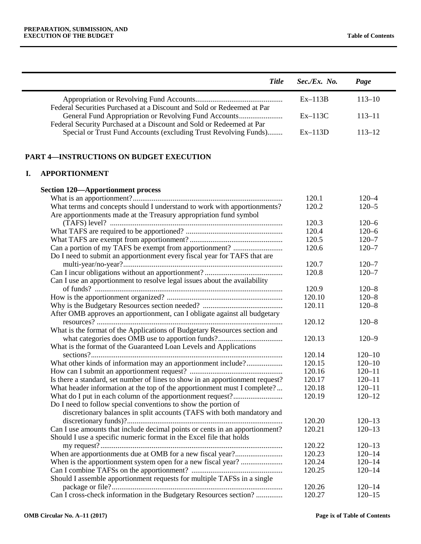| <b>Title</b>                                                                                                                                  | Sec./Ex. No. | Page       |
|-----------------------------------------------------------------------------------------------------------------------------------------------|--------------|------------|
| Federal Securities Purchased at a Discount and Sold or Redeemed at Par                                                                        | $Ex-113B$    | $113 - 10$ |
| Federal Security Purchased at a Discount and Sold or Redeemed at Par                                                                          | $Ex-113C$    | $113 - 11$ |
| Special or Trust Fund Accounts (excluding Trust Revolving Funds)                                                                              | $Ex-113D$    | $113 - 12$ |
| <b>PART 4-INSTRUCTIONS ON BUDGET EXECUTION</b>                                                                                                |              |            |
| <b>APPORTIONMENT</b><br><b>I.</b>                                                                                                             |              |            |
| <b>Section 120—Apportionment process</b>                                                                                                      |              |            |
|                                                                                                                                               | 120.1        | $120 - 4$  |
| What terms and concepts should I understand to work with apportionments?<br>Are apportionments made at the Treasury appropriation fund symbol | 120.2        | $120 - 5$  |
|                                                                                                                                               | 120.3        | $120 - 6$  |
|                                                                                                                                               | 120.4        | $120 - 6$  |
|                                                                                                                                               | 120.5        | $120 - 7$  |
| Can a portion of my TAFS be exempt from apportionment?                                                                                        | 120.6        | $120 - 7$  |
| Do I need to submit an apportionment every fiscal year for TAFS that are                                                                      |              |            |
|                                                                                                                                               | 120.7        | $120 - 7$  |
|                                                                                                                                               | 120.8        | $120 - 7$  |
| Can I use an apportionment to resolve legal issues about the availability                                                                     |              |            |
|                                                                                                                                               | 120.9        | $120 - 8$  |
|                                                                                                                                               | 120.10       | $120 - 8$  |
|                                                                                                                                               | 120.11       | $120 - 8$  |
| After OMB approves an apportionment, can I obligate against all budgetary                                                                     |              |            |
|                                                                                                                                               | 120.12       | $120 - 8$  |
| What is the format of the Applications of Budgetary Resources section and                                                                     |              |            |
|                                                                                                                                               | 120.13       | $120 - 9$  |
| What is the format of the Guaranteed Loan Levels and Applications                                                                             |              |            |
|                                                                                                                                               | 120.14       | $120 - 10$ |
| What other kinds of information may an apportionment include?                                                                                 | 120.15       | $120 - 10$ |
|                                                                                                                                               | 120.16       | $120 - 11$ |
| Is there a standard, set number of lines to show in an apportionment request?                                                                 | 120.17       | $120 - 11$ |
| What header information at the top of the apportionment must I complete?                                                                      | 120.18       | $120 - 11$ |
|                                                                                                                                               | 120.19       | $120 - 12$ |
| Do I need to follow special conventions to show the portion of                                                                                |              |            |
| discretionary balances in split accounts (TAFS with both mandatory and                                                                        |              |            |
|                                                                                                                                               | 120.20       | $120 - 13$ |
| Can I use amounts that include decimal points or cents in an apportionment?                                                                   | 120.21       | $120 - 13$ |
| Should I use a specific numeric format in the Excel file that holds                                                                           |              |            |
|                                                                                                                                               | 120.22       | $120 - 13$ |
|                                                                                                                                               | 120.23       | $120 - 14$ |
|                                                                                                                                               | 120.24       | $120 - 14$ |
|                                                                                                                                               | 120.25       | $120 - 14$ |
| Should I assemble apportionment requests for multiple TAFSs in a single                                                                       |              |            |
|                                                                                                                                               | 120.26       | $120 - 14$ |
| Can I cross-check information in the Budgetary Resources section?                                                                             | 120.27       | $120 - 15$ |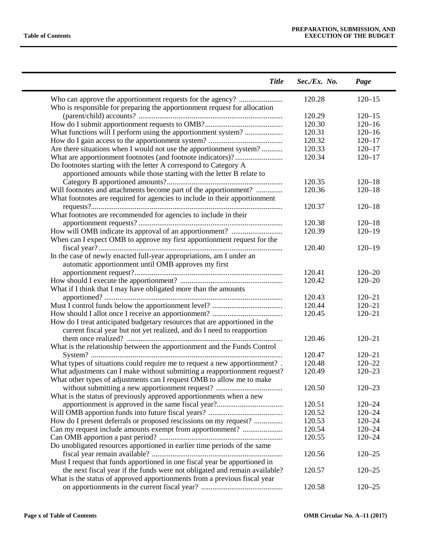$\overline{\phantom{0}}$ 

| <b>Title</b>                                                                | $Sec./Ex.$ No. | Page       |  |
|-----------------------------------------------------------------------------|----------------|------------|--|
| Who can approve the apportionment requests for the agency?                  | 120.28         | $120 - 15$ |  |
| Who is responsible for preparing the apportionment request for allocation   |                |            |  |
|                                                                             | 120.29         | $120 - 15$ |  |
|                                                                             | 120.30         | $120 - 16$ |  |
| What functions will I perform using the apportionment system?               | 120.31         | $120 - 16$ |  |
|                                                                             | 120.32         | $120 - 17$ |  |
| Are there situations when I would not use the apportionment system?         | 120.33         | $120 - 17$ |  |
| What are apportionment footnotes (and footnote indicators)?                 | 120.34         | $120 - 17$ |  |
| Do footnotes starting with the letter A correspond to Category A            |                |            |  |
| apportioned amounts while those starting with the letter B relate to        |                |            |  |
|                                                                             | 120.35         | $120 - 18$ |  |
| Will footnotes and attachments become part of the apportionment?            | 120.36         | $120 - 18$ |  |
| What footnotes are required for agencies to include in their apportionment  |                |            |  |
|                                                                             | 120.37         | $120 - 18$ |  |
| What footnotes are recommended for agencies to include in their             |                |            |  |
|                                                                             | 120.38         | $120 - 18$ |  |
|                                                                             | 120.39         | $120 - 19$ |  |
| When can I expect OMB to approve my first apportionment request for the     |                |            |  |
|                                                                             | 120.40         | $120 - 19$ |  |
| In the case of newly enacted full-year appropriations, am I under an        |                |            |  |
| automatic apportionment until OMB approves my first                         |                |            |  |
|                                                                             | 120.41         | $120 - 20$ |  |
|                                                                             | 120.42         | $120 - 20$ |  |
| What if I think that I may have obligated more than the amounts             |                |            |  |
|                                                                             | 120.43         | $120 - 21$ |  |
|                                                                             | 120.44         | $120 - 21$ |  |
|                                                                             | 120.45         | $120 - 21$ |  |
| How do I treat anticipated budgetary resources that are apportioned in the  |                |            |  |
| current fiscal year but not yet realized, and do I need to reapportion      |                |            |  |
|                                                                             | 120.46         | $120 - 21$ |  |
| What is the relationship between the apportionment and the Funds Control    |                |            |  |
|                                                                             | 120.47         | $120 - 21$ |  |
| What types of situations could require me to request a new apportionment? . | 120.48         | $120 - 22$ |  |
| What adjustments can I make without submitting a reapportionment request?   | 120.49         | $120 - 23$ |  |
| What other types of adjustments can I request OMB to allow me to make       |                |            |  |
|                                                                             | 120.50         | $120 - 23$ |  |
| What is the status of previously approved apportionments when a new         |                |            |  |
|                                                                             | 120.51         | $120 - 24$ |  |
|                                                                             | 120.52         | $120 - 24$ |  |
| How do I present deferrals or proposed rescissions on my request?           | 120.53         | $120 - 24$ |  |
| Can my request include amounts exempt from apportionment?                   | 120.54         | $120 - 24$ |  |
|                                                                             | 120.55         | $120 - 24$ |  |
| Do unobligated resources apportioned in earlier time periods of the same    |                |            |  |
|                                                                             | 120.56         | $120 - 25$ |  |
| Must I request that funds apportioned in one fiscal year be apportioned in  |                |            |  |
| the next fiscal year if the funds were not obligated and remain available?  | 120.57         | $120 - 25$ |  |
| What is the status of approved apportionments from a previous fiscal year   |                |            |  |
|                                                                             | 120.58         | $120 - 25$ |  |
|                                                                             |                |            |  |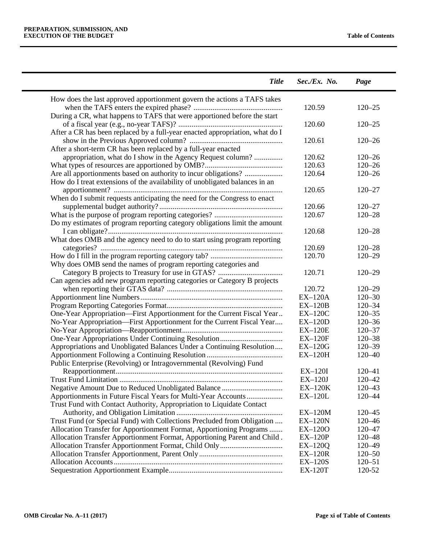| <b>Title</b>                                                                 | Sec./Ex. No.   | Page       |
|------------------------------------------------------------------------------|----------------|------------|
| How does the last approved apportionment govern the actions a TAFS takes     |                |            |
|                                                                              | 120.59         | $120 - 25$ |
| During a CR, what happens to TAFS that were apportioned before the start     |                |            |
|                                                                              | 120.60         | $120 - 25$ |
| After a CR has been replaced by a full-year enacted appropriation, what do I |                |            |
|                                                                              | 120.61         | $120 - 26$ |
| After a short-term CR has been replaced by a full-year enacted               |                |            |
| appropriation, what do I show in the Agency Request column?                  | 120.62         | $120 - 26$ |
|                                                                              | 120.63         | $120 - 26$ |
| Are all apportionments based on authority to incur obligations?              | 120.64         | $120 - 26$ |
| How do I treat extensions of the availability of unobligated balances in an  |                |            |
|                                                                              | 120.65         | $120 - 27$ |
| When do I submit requests anticipating the need for the Congress to enact    |                |            |
|                                                                              | 120.66         | $120 - 27$ |
|                                                                              | 120.67         | $120 - 28$ |
| Do my estimates of program reporting category obligations limit the amount   |                |            |
|                                                                              | 120.68         | $120 - 28$ |
| What does OMB and the agency need to do to start using program reporting     |                |            |
|                                                                              | 120.69         | $120 - 28$ |
|                                                                              | 120.70         | $120 - 29$ |
| Why does OMB send the names of program reporting categories and              |                |            |
|                                                                              | 120.71         | $120 - 29$ |
| Can agencies add new program reporting categories or Category B projects     |                |            |
|                                                                              | 120.72         | $120 - 29$ |
|                                                                              | $EX-120A$      | $120 - 30$ |
|                                                                              | $EX-120B$      | $120 - 34$ |
| One-Year Appropriation-First Apportionment for the Current Fiscal Year       | $EX-120C$      | $120 - 35$ |
| No-Year Appropriation-First Apportionment for the Current Fiscal Year        | $EX-120D$      | $120 - 36$ |
|                                                                              | $EX-120E$      | $120 - 37$ |
|                                                                              | $EX-120F$      | $120 - 38$ |
| Appropriations and Unobligated Balances Under a Continuing Resolution        | $EX-120G$      | $120 - 39$ |
|                                                                              | $EX-120H$      | $120 - 40$ |
| Public Enterprise (Revolving) or Intragovernmental (Revolving) Fund          |                |            |
|                                                                              | $EX-120I$      | $120 - 41$ |
|                                                                              | $EX-120J$      | 120–42     |
|                                                                              | $EX-120K$      | 120-43     |
| Apportionments in Future Fiscal Years for Multi-Year Accounts                | $EX-120L$      | 120-44     |
| Trust Fund with Contact Authority, Appropriation to Liquidate Contact        |                |            |
|                                                                              | $EX-120M$      | $120 - 45$ |
| Trust Fund (or Special Fund) with Collections Precluded from Obligation      | $EX-120N$      | $120 - 46$ |
| Allocation Transfer for Apportionment Format, Apportioning Programs          | EX-120O        | $120 - 47$ |
| Allocation Transfer Apportionment Format, Apportioning Parent and Child.     | <b>EX-120P</b> | $120 - 48$ |
|                                                                              | $EX-120Q$      | 120-49     |
|                                                                              | $EX-120R$      | $120 - 50$ |
|                                                                              | <b>EX-120S</b> | $120 - 51$ |
|                                                                              |                |            |
|                                                                              | <b>EX-120T</b> | 120-52     |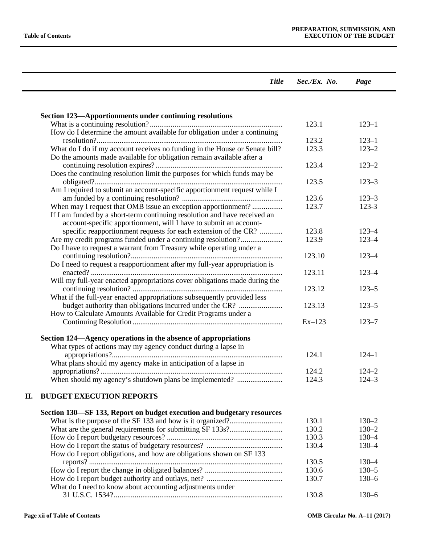|    | <b>Title</b>                                                                | $Sec./Ex.$ No. | Page      |
|----|-----------------------------------------------------------------------------|----------------|-----------|
|    |                                                                             |                |           |
|    | Section 123—Apportionments under continuing resolutions                     |                |           |
|    |                                                                             | 123.1          | $123 - 1$ |
|    | How do I determine the amount available for obligation under a continuing   |                |           |
|    |                                                                             | 123.2          | $123 - 1$ |
|    | What do I do if my account receives no funding in the House or Senate bill? | 123.3          | $123 - 2$ |
|    | Do the amounts made available for obligation remain available after a       |                |           |
|    |                                                                             | 123.4          | $123 - 2$ |
|    | Does the continuing resolution limit the purposes for which funds may be    |                |           |
|    |                                                                             | 123.5          | $123 - 3$ |
|    | Am I required to submit an account-specific apportionment request while I   |                |           |
|    |                                                                             | 123.6          | $123 - 3$ |
|    | When may I request that OMB issue an exception apportionment?               | 123.7          | $123 - 3$ |
|    | If I am funded by a short-term continuing resolution and have received an   |                |           |
|    | account-specific apportionment, will I have to submit an account-           |                |           |
|    | specific reapportionment requests for each extension of the CR?             | 123.8          | $123 - 4$ |
|    | Are my credit programs funded under a continuing resolution?                | 123.9          | $123 - 4$ |
|    | Do I have to request a warrant from Treasury while operating under a        |                |           |
|    |                                                                             | 123.10         | $123 - 4$ |
|    | Do I need to request a reapportionment after my full-year appropriation is  | 123.11         | $123 - 4$ |
|    | Will my full-year enacted appropriations cover obligations made during the  |                |           |
|    |                                                                             | 123.12         | $123 - 5$ |
|    | What if the full-year enacted appropriations subsequently provided less     |                |           |
|    | budget authority than obligations incurred under the CR?                    | 123.13         | $123 - 5$ |
|    | How to Calculate Amounts Available for Credit Programs under a              |                |           |
|    |                                                                             | $Ex-123$       | $123 - 7$ |
|    |                                                                             |                |           |
|    | Section 124—Agency operations in the absence of appropriations              |                |           |
|    | What types of actions may my agency conduct during a lapse in               |                |           |
|    |                                                                             | 124.1          | $124 - 1$ |
|    | What plans should my agency make in anticipation of a lapse in              |                |           |
|    |                                                                             | 124.2          | $124 - 2$ |
|    | When should my agency's shutdown plans be implemented?                      | 124.3          | $124 - 3$ |
| П. | <b>BUDGET EXECUTION REPORTS</b>                                             |                |           |
|    |                                                                             |                |           |
|    | Section 130–SF 133, Report on budget execution and budgetary resources      |                |           |
|    |                                                                             | 130.1          | $130 - 2$ |
|    |                                                                             | 130.2          | $130 - 2$ |
|    |                                                                             | 130.3          | $130 - 4$ |
|    |                                                                             | 130.4          | $130 - 4$ |
|    | How do I report obligations, and how are obligations shown on SF 133        |                |           |
|    |                                                                             | 130.5          | $130 - 4$ |
|    |                                                                             | 130.6          | $130 - 5$ |
|    |                                                                             | 130.7          | $130 - 6$ |
|    | What do I need to know about accounting adjustments under                   |                |           |
|    |                                                                             | 130.8          | $130 - 6$ |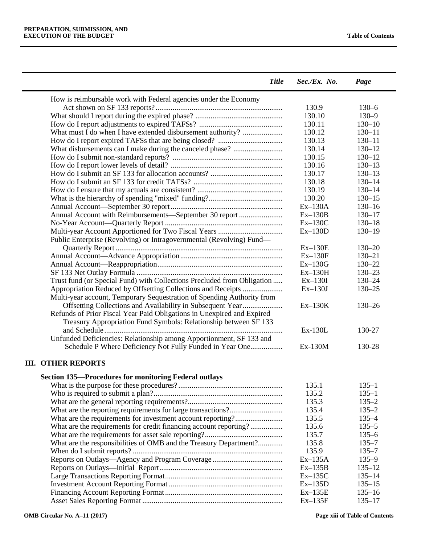$\blacksquare$ 

 $\overline{a}$ 

| <b>Title</b>                                                            | $Sec./Ex.$ No. | Page       |
|-------------------------------------------------------------------------|----------------|------------|
| How is reimbursable work with Federal agencies under the Economy        |                |            |
|                                                                         | 130.9          | $130 - 6$  |
|                                                                         | 130.10         | $130 - 9$  |
|                                                                         | 130.11         | $130 - 10$ |
| What must I do when I have extended disbursement authority?             | 130.12         | $130 - 11$ |
|                                                                         | 130.13         | $130 - 11$ |
|                                                                         | 130.14         | $130 - 12$ |
|                                                                         | 130.15         | $130 - 12$ |
|                                                                         | 130.16         | $130 - 13$ |
|                                                                         | 130.17         | $130 - 13$ |
|                                                                         | 130.18         | $130 - 14$ |
|                                                                         | 130.19         | $130 - 14$ |
|                                                                         | 130.20         | $130 - 15$ |
|                                                                         | $Ex-130A$      | $130 - 16$ |
| Annual Account with Reimbursements-September 30 report                  | $Ex-130B$      | $130 - 17$ |
|                                                                         | $Ex-130C$      | $130 - 18$ |
|                                                                         | $Ex-130D$      | $130 - 19$ |
| Public Enterprise (Revolving) or Intragovernmental (Revolving) Fund-    |                |            |
|                                                                         | $Ex-130E$      | $130 - 20$ |
|                                                                         | $Ex-130F$      | $130 - 21$ |
|                                                                         | $Ex-130G$      | $130 - 22$ |
|                                                                         | $Ex-130H$      | $130 - 23$ |
| Trust fund (or Special Fund) with Collections Precluded from Obligation | $Ex-130I$      | $130 - 24$ |
| Appropriation Reduced by Offsetting Collections and Receipts            | $Ex-130J$      | $130 - 25$ |
| Multi-year account, Temporary Sequestration of Spending Authority from  |                |            |
| Offsetting Collections and Availability in Subsequent Year              | $Ex-130K$      | $130 - 26$ |
| Refunds of Prior Fiscal Year Paid Obligations in Unexpired and Expired  |                |            |
| Treasury Appropriation Fund Symbols: Relationship between SF 133        |                |            |
|                                                                         | Ex-130L        | 130-27     |
| Unfunded Deficiencies: Relationship among Apportionment, SF 133 and     |                |            |
| Schedule P Where Deficiency Not Fully Funded in Year One                | Ex-130M        | 130-28     |
| <b>III. OTHER REPORTS</b>                                               |                |            |
| <b>Section 135-Procedures for monitoring Federal outlays</b>            |                |            |
|                                                                         | 135.1          | $135 - 1$  |
|                                                                         | 135.2          | $135 - 1$  |

|                                                                   | 1.3.2.2   | $1 - C$ C. I |
|-------------------------------------------------------------------|-----------|--------------|
|                                                                   | 135.3     | $135 - 2$    |
|                                                                   | 135.4     | $135 - 2$    |
|                                                                   | 135.5     | $135 - 4$    |
| What are the requirements for credit financing account reporting? | 135.6     | $135 - 5$    |
|                                                                   | 135.7     | $135 - 6$    |
| What are the responsibilities of OMB and the Treasury Department? | 135.8     | $135 - 7$    |
|                                                                   | 135.9     | $135 - 7$    |
|                                                                   | $Ex-135A$ | $135 - 9$    |
|                                                                   | $Ex-135B$ | $135 - 12$   |
|                                                                   | $Ex-135C$ | $135 - 14$   |
|                                                                   | $Ex-135D$ | $135 - 15$   |
|                                                                   | $Ex-135E$ | $135 - 16$   |
|                                                                   | $Ex-135F$ | $135 - 17$   |
|                                                                   |           |              |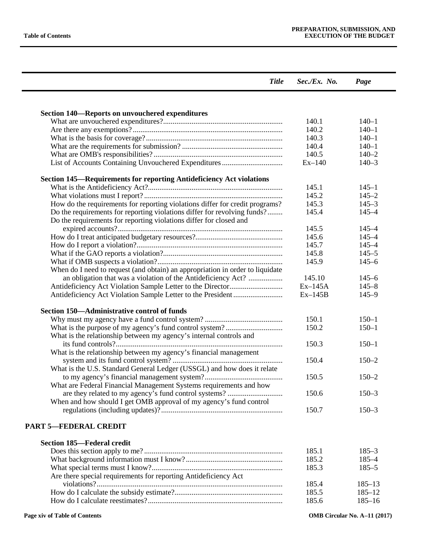| <b>Title</b>                                                                                                                                   | $Sec./Ex.$ No. | Page       |
|------------------------------------------------------------------------------------------------------------------------------------------------|----------------|------------|
|                                                                                                                                                |                |            |
| <b>Section 140–Reports on unvouchered expenditures</b>                                                                                         |                |            |
|                                                                                                                                                | 140.1          | $140 - 1$  |
|                                                                                                                                                | 140.2          | $140 - 1$  |
|                                                                                                                                                | 140.3          | $140 - 1$  |
|                                                                                                                                                | 140.4          | $140 - 1$  |
|                                                                                                                                                | 140.5          | $140 - 2$  |
|                                                                                                                                                | $Ex-140$       | $140 - 3$  |
| <b>Section 145—Requirements for reporting Antideficiency Act violations</b>                                                                    |                |            |
|                                                                                                                                                | 145.1          | $145 - 1$  |
|                                                                                                                                                | 145.2          | $145 - 2$  |
| How do the requirements for reporting violations differ for credit programs?                                                                   | 145.3          | $145 - 3$  |
| Do the requirements for reporting violations differ for revolving funds?<br>Do the requirements for reporting violations differ for closed and | 145.4          | $145 - 4$  |
|                                                                                                                                                | 145.5          | $145 - 4$  |
|                                                                                                                                                | 145.6          | $145 - 4$  |
|                                                                                                                                                | 145.7          | $145 - 4$  |
|                                                                                                                                                | 145.8          | $145 - 5$  |
|                                                                                                                                                | 145.9          | $145 - 6$  |
| When do I need to request (and obtain) an appropriation in order to liquidate                                                                  |                |            |
| an obligation that was a violation of the Antideficiency Act?                                                                                  | 145.10         | $145 - 6$  |
|                                                                                                                                                | $Ex-145A$      | $145 - 8$  |
|                                                                                                                                                | $Ex-145B$      | $145 - 9$  |
| Section 150—Administrative control of funds                                                                                                    |                |            |
|                                                                                                                                                | 150.1          | $150 - 1$  |
|                                                                                                                                                | 150.2          | $150 - 1$  |
| What is the relationship between my agency's internal controls and                                                                             |                |            |
|                                                                                                                                                | 150.3          | $150 - 1$  |
| What is the relationship between my agency's financial management                                                                              |                |            |
|                                                                                                                                                | 150.4          | $150 - 2$  |
| What is the U.S. Standard General Ledger (USSGL) and how does it relate                                                                        |                |            |
|                                                                                                                                                | 150.5          | $150 - 2$  |
| What are Federal Financial Management Systems requirements and how                                                                             |                |            |
|                                                                                                                                                | 150.6          | $150 - 3$  |
| When and how should I get OMB approval of my agency's fund control                                                                             |                |            |
|                                                                                                                                                | 150.7          | $150 - 3$  |
| <b>PART 5-FEDERAL CREDIT</b>                                                                                                                   |                |            |
| <b>Section 185—Federal credit</b>                                                                                                              |                |            |
|                                                                                                                                                | 185.1          | $185 - 3$  |
|                                                                                                                                                | 185.2          | $185 - 4$  |
|                                                                                                                                                | 185.3          | $185 - 5$  |
| Are there special requirements for reporting Antideficiency Act                                                                                |                |            |
|                                                                                                                                                | 185.4          | $185 - 13$ |
|                                                                                                                                                | 185.5          | $185 - 12$ |
|                                                                                                                                                | 185.6          |            |
|                                                                                                                                                |                | $185 - 16$ |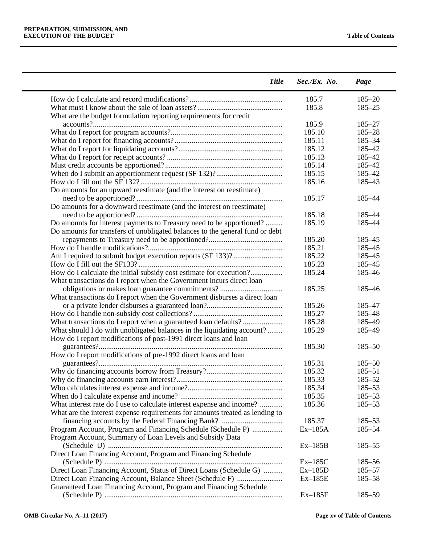| <b>Title</b>                                                                                                                                | Sec./Ex. No. | Page       |
|---------------------------------------------------------------------------------------------------------------------------------------------|--------------|------------|
|                                                                                                                                             | 185.7        | $185 - 20$ |
|                                                                                                                                             | 185.8        | $185 - 25$ |
| What are the budget formulation reporting requirements for credit                                                                           |              |            |
|                                                                                                                                             | 185.9        | $185 - 27$ |
|                                                                                                                                             | 185.10       | $185 - 28$ |
|                                                                                                                                             | 185.11       | 185-34     |
|                                                                                                                                             | 185.12       | 185-42     |
|                                                                                                                                             | 185.13       | 185-42     |
|                                                                                                                                             | 185.14       | 185-42     |
|                                                                                                                                             | 185.15       | 185-42     |
|                                                                                                                                             | 185.16       | 185-43     |
| Do amounts for an upward reestimate (and the interest on reestimate)                                                                        |              |            |
|                                                                                                                                             | 185.17       | 185-44     |
| Do amounts for a downward reestimate (and the interest on reestimate)                                                                       |              |            |
|                                                                                                                                             | 185.18       | 185-44     |
|                                                                                                                                             | 185.19       | 185-44     |
| Do amounts for interest payments to Treasury need to be apportioned?                                                                        |              |            |
| Do amounts for transfers of unobligated balances to the general fund or debt                                                                |              |            |
|                                                                                                                                             | 185.20       | 185-45     |
|                                                                                                                                             | 185.21       | 185-45     |
|                                                                                                                                             | 185.22       | 185-45     |
|                                                                                                                                             | 185.23       | 185-45     |
| How do I calculate the initial subsidy cost estimate for execution?<br>What transactions do I report when the Government incurs direct loan | 185.24       | 185-46     |
|                                                                                                                                             | 185.25       | 185-46     |
| What transactions do I report when the Government disburses a direct loan                                                                   |              |            |
|                                                                                                                                             | 185.26       | 185-47     |
|                                                                                                                                             | 185.27       | 185-48     |
| What transactions do I report when a guaranteed loan defaults?                                                                              | 185.28       | 185-49     |
| What should I do with unobligated balances in the liquidating account?                                                                      | 185.29       | 185-49     |
| How do I report modifications of post-1991 direct loans and loan                                                                            |              |            |
|                                                                                                                                             | 185.30       | $185 - 50$ |
| How do I report modifications of pre-1992 direct loans and loan                                                                             |              |            |
|                                                                                                                                             | 185.31       | $185 - 50$ |
|                                                                                                                                             | 185.32       | $185 - 51$ |
|                                                                                                                                             | 185.33       | $185 - 52$ |
|                                                                                                                                             | 185.34       | $185 - 53$ |
|                                                                                                                                             | 185.35       | 185-53     |
| What interest rate do I use to calculate interest expense and income?                                                                       | 185.36       | 185-53     |
| What are the interest expense requirements for amounts treated as lending to                                                                |              |            |
|                                                                                                                                             | 185.37       | $185 - 53$ |
| Program Account, Program and Financing Schedule (Schedule P)                                                                                | $Ex-185A$    | 185-54     |
| Program Account, Summary of Loan Levels and Subsidy Data                                                                                    | $Ex-185B$    | $185 - 55$ |
| Direct Loan Financing Account, Program and Financing Schedule                                                                               |              |            |
|                                                                                                                                             | $Ex-185C$    | $185 - 56$ |
| Direct Loan Financing Account, Status of Direct Loans (Schedule G)                                                                          | $Ex-185D$    | $185 - 57$ |
|                                                                                                                                             | $Ex-185E$    | 185-58     |
| Guaranteed Loan Financing Account, Program and Financing Schedule                                                                           |              |            |
|                                                                                                                                             | $Ex-185F$    | 185-59     |
|                                                                                                                                             |              |            |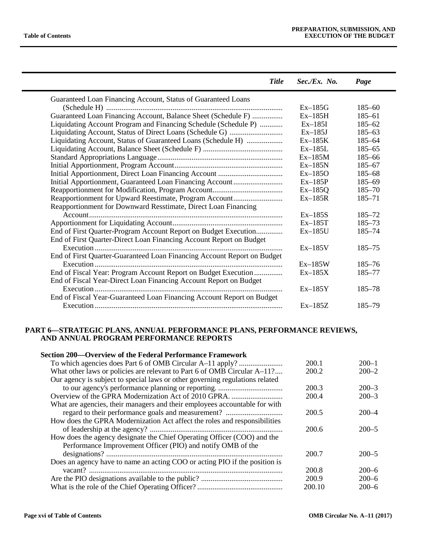| <b>Title</b>                                                            | $Sec./Ex.$ No. | Page       |
|-------------------------------------------------------------------------|----------------|------------|
| Guaranteed Loan Financing Account, Status of Guaranteed Loans           |                |            |
|                                                                         | $Ex-185G$      | $185 - 60$ |
| Guaranteed Loan Financing Account, Balance Sheet (Schedule F)           | $Ex-185H$      | $185 - 61$ |
| Liquidating Account Program and Financing Schedule (Schedule P)         | $Ex-185I$      | $185 - 62$ |
|                                                                         | $Ex-185J$      | $185 - 63$ |
| Liquidating Account, Status of Guaranteed Loans (Schedule H)            | $Ex-185K$      | $185 - 64$ |
|                                                                         | $Ex-185L$      | $185 - 65$ |
|                                                                         | $Ex-185M$      | $185 - 66$ |
|                                                                         | $Ex-185N$      | $185 - 67$ |
|                                                                         | $Ex-185O$      | $185 - 68$ |
| Initial Apportionment, Guaranteed Loan Financing Account                | $Ex-185P$      | $185 - 69$ |
|                                                                         | $Ex-185Q$      | $185 - 70$ |
| Reapportionment for Upward Reestimate, Program Account                  | $Ex-185R$      | $185 - 71$ |
| Reapportionment for Downward Resstimate, Direct Loan Financing          |                |            |
|                                                                         | $Ex-185S$      | $185 - 72$ |
|                                                                         | $Ex-185T$      | $185 - 73$ |
| End of First Quarter-Program Account Report on Budget Execution         | $Ex-185U$      | 185-74     |
| End of First Quarter-Direct Loan Financing Account Report on Budget     |                |            |
|                                                                         | $Ex-185V$      | $185 - 75$ |
| End of First Quarter-Guaranteed Loan Financing Account Report on Budget |                |            |
|                                                                         | $Ex-185W$      | $185 - 76$ |
| End of Fiscal Year: Program Account Report on Budget Execution          | $Ex-185X$      | $185 - 77$ |
| End of Fiscal Year-Direct Loan Financing Account Report on Budget       |                |            |
|                                                                         | $Ex-185Y$      | 185–78     |
| End of Fiscal Year-Guaranteed Loan Financing Account Report on Budget   |                |            |
|                                                                         | $Ex-185Z$      | 185–79     |
|                                                                         |                |            |

## **PART 6—STRATEGIC PLANS, ANNUAL PERFORMANCE PLANS, PERFORMANCE REVIEWS, AND ANNUAL PROGRAM PERFORMANCE REPORTS**

| <b>Section 200—Overview of the Federal Performance Framework</b>             |        |           |
|------------------------------------------------------------------------------|--------|-----------|
|                                                                              | 200.1  | $200 - 1$ |
| What other laws or policies are relevant to Part 6 of OMB Circular A–11?     | 200.2  | $200 - 2$ |
| Our agency is subject to special laws or other governing regulations related |        |           |
|                                                                              | 200.3  | $200 - 3$ |
|                                                                              | 200.4  | $200 - 3$ |
| What are agencies, their managers and their employees accountable for with   |        |           |
|                                                                              | 200.5  | $200 - 4$ |
| How does the GPRA Modernization Act affect the roles and responsibilities    |        |           |
|                                                                              | 200.6  | $200 - 5$ |
| How does the agency designate the Chief Operating Officer (COO) and the      |        |           |
| Performance Improvement Officer (PIO) and notify OMB of the                  |        |           |
|                                                                              | 200.7  | $200 - 5$ |
| Does an agency have to name an acting COO or acting PIO if the position is   |        |           |
|                                                                              | 200.8  | $200 - 6$ |
|                                                                              | 200.9  | $200 - 6$ |
|                                                                              | 200.10 | $200 - 6$ |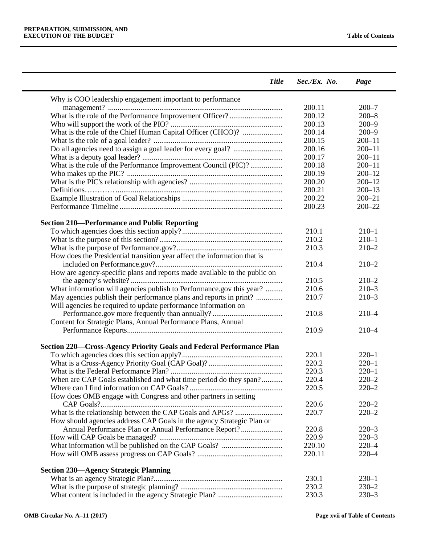| <b>Title</b>                                                              | Sec./Ex. No. | Page       |
|---------------------------------------------------------------------------|--------------|------------|
| Why is COO leadership engagement important to performance                 |              |            |
|                                                                           | 200.11       | $200 - 7$  |
|                                                                           | 200.12       | $200 - 8$  |
|                                                                           | 200.13       | $200 - 9$  |
| What is the role of the Chief Human Capital Officer (CHCO)?               | 200.14       | $200 - 9$  |
|                                                                           | 200.15       | $200 - 11$ |
|                                                                           | 200.16       | $200 - 11$ |
|                                                                           | 200.17       | $200 - 11$ |
| What is the role of the Performance Improvement Council (PIC)?            | 200.18       | $200 - 11$ |
|                                                                           | 200.19       | $200 - 12$ |
|                                                                           | 200.20       | $200 - 12$ |
|                                                                           | 200.21       | $200 - 13$ |
|                                                                           | 200.22       | $200 - 21$ |
|                                                                           | 200.23       | $200 - 22$ |
| <b>Section 210-Performance and Public Reporting</b>                       |              |            |
|                                                                           | 210.1        | $210 - 1$  |
|                                                                           | 210.2        | $210 - 1$  |
|                                                                           | 210.3        | $210 - 2$  |
| How does the Presidential transition year affect the information that is  |              |            |
|                                                                           | 210.4        | $210 - 2$  |
|                                                                           |              |            |
| How are agency-specific plans and reports made available to the public on |              |            |
|                                                                           | 210.5        | $210 - 2$  |
| What information will agencies publish to Performance.gov this year?      | 210.6        | $210 - 3$  |
| May agencies publish their performance plans and reports in print?        | 210.7        | $210 - 3$  |
| Will agencies be required to update performance information on            |              |            |
|                                                                           | 210.8        | $210 - 4$  |
| Content for Strategic Plans, Annual Performance Plans, Annual             |              |            |
|                                                                           | 210.9        | $210 - 4$  |
| Section 220–Cross-Agency Priority Goals and Federal Performance Plan      |              |            |
|                                                                           | 220.1        | $220 - 1$  |
|                                                                           | 220.2        | $220 - 1$  |
|                                                                           | 220.3        | $220 - 1$  |
| When are CAP Goals established and what time period do they span?         | 220.4        | $220 - 2$  |
|                                                                           | 220.5        | $220 - 2$  |
| How does OMB engage with Congress and other partners in setting           |              |            |
|                                                                           | 220.6        | $220 - 2$  |
|                                                                           | 220.7        | $220 - 2$  |
| How should agencies address CAP Goals in the agency Strategic Plan or     |              |            |
| Annual Performance Plan or Annual Performance Report?                     | 220.8        | $220 - 3$  |
|                                                                           | 220.9        | $220 - 3$  |
|                                                                           | 220.10       | $220 - 4$  |
|                                                                           | 220.11       | $220 - 4$  |
| <b>Section 230-Agency Strategic Planning</b>                              |              |            |
|                                                                           | 230.1        | $230 - 1$  |
|                                                                           | 230.2        | $230 - 2$  |
|                                                                           | 230.3        | $230 - 3$  |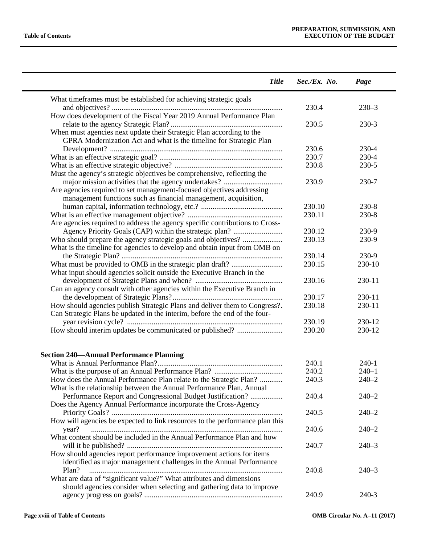| <b>Title</b>                                                                                                                               | Sec./Ex. No. | Page      |
|--------------------------------------------------------------------------------------------------------------------------------------------|--------------|-----------|
| What timeframes must be established for achieving strategic goals                                                                          |              |           |
|                                                                                                                                            | 230.4        | $230 - 3$ |
| How does development of the Fiscal Year 2019 Annual Performance Plan                                                                       |              |           |
|                                                                                                                                            | 230.5        | 230-3     |
| When must agencies next update their Strategic Plan according to the                                                                       |              |           |
| GPRA Modernization Act and what is the timeline for Strategic Plan                                                                         |              |           |
|                                                                                                                                            | 230.6        | 230-4     |
|                                                                                                                                            | 230.7        | 230-4     |
|                                                                                                                                            | 230.8        | 230-5     |
| Must the agency's strategic objectives be comprehensive, reflecting the                                                                    |              |           |
|                                                                                                                                            | 230.9        | 230-7     |
| Are agencies required to set management-focused objectives addressing                                                                      |              |           |
| management functions such as financial management, acquisition,                                                                            |              |           |
|                                                                                                                                            | 230.10       | $230 - 8$ |
|                                                                                                                                            | 230.11       | $230 - 8$ |
| Are agencies required to address the agency specific contributions to Cross-                                                               |              |           |
|                                                                                                                                            | 230.12       | 230-9     |
| Who should prepare the agency strategic goals and objectives?                                                                              | 230.13       | 230-9     |
| What is the timeline for agencies to develop and obtain input from OMB on                                                                  |              |           |
|                                                                                                                                            | 230.14       | 230-9     |
|                                                                                                                                            | 230.15       | 230-10    |
| What input should agencies solicit outside the Executive Branch in the                                                                     |              |           |
|                                                                                                                                            | 230.16       | 230-11    |
| Can an agency consult with other agencies within the Executive Branch in                                                                   |              |           |
|                                                                                                                                            | 230.17       | 230-11    |
| How should agencies publish Strategic Plans and deliver them to Congress?.                                                                 | 230.18       | 230-11    |
| Can Strategic Plans be updated in the interim, before the end of the four-                                                                 |              |           |
|                                                                                                                                            | 230.19       | 230-12    |
| How should interim updates be communicated or published?                                                                                   | 230.20       | 230-12    |
| <b>Section 240—Annual Performance Planning</b>                                                                                             |              |           |
|                                                                                                                                            | 240.1        | $240-1$   |
|                                                                                                                                            | 240.2        | $240 - 1$ |
| How does the Annual Performance Plan relate to the Strategic Plan?<br>What is the relationship between the Annual Performance Plan, Annual | 240.3        | $240 - 2$ |
| Performance Report and Congressional Budget Justification?<br>Does the Agency Annual Performance incorporate the Cross-Agency              | 240.4        | $240 - 2$ |
|                                                                                                                                            | 240.5        | $240 - 2$ |
| How will agencies be expected to link resources to the performance plan this                                                               |              |           |
| year?                                                                                                                                      | 240.6        | $240 - 2$ |
| What content should be included in the Annual Performance Plan and how                                                                     | 240.7        | $240 - 3$ |
| How should agencies report performance improvement actions for items                                                                       |              |           |
| identified as major management challenges in the Annual Performance                                                                        |              |           |
| Plan?                                                                                                                                      | 240.8        | $240 - 3$ |
| What are data of "significant value?" What attributes and dimensions                                                                       |              |           |
| should agencies consider when selecting and gathering data to improve                                                                      | 240.9        | 240-3     |
|                                                                                                                                            |              |           |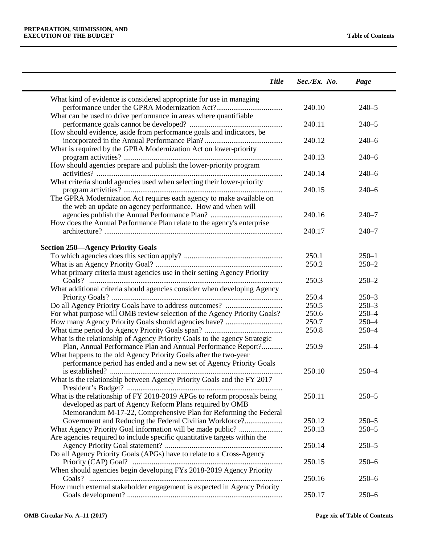| <b>Title</b>                                                              | $Sec./Ex.$ No. | Page      |
|---------------------------------------------------------------------------|----------------|-----------|
| What kind of evidence is considered appropriate for use in managing       |                |           |
|                                                                           | 240.10         | $240 - 5$ |
| What can be used to drive performance in areas where quantifiable         | 240.11         | $240 - 5$ |
| How should evidence, aside from performance goals and indicators, be      |                | $240 - 6$ |
| What is required by the GPRA Modernization Act on lower-priority          | 240.12         |           |
|                                                                           | 240.13         | $240 - 6$ |
| How should agencies prepare and publish the lower-priority program        | 240.14         | $240 - 6$ |
| What criteria should agencies used when selecting their lower-priority    |                |           |
| The GPRA Modernization Act requires each agency to make available on      | 240.15         | $240 - 6$ |
| the web an update on agency performance. How and when will                |                |           |
|                                                                           | 240.16         | $240 - 7$ |
| How does the Annual Performance Plan relate to the agency's enterprise    | 240.17         | $240 - 7$ |
|                                                                           |                |           |
| <b>Section 250—Agency Priority Goals</b>                                  | 250.1          | $250 - 1$ |
|                                                                           | 250.2          | $250 - 2$ |
| What primary criteria must agencies use in their setting Agency Priority  |                |           |
| What additional criteria should agencies consider when developing Agency  | 250.3          | $250 - 2$ |
|                                                                           | 250.4          | $250 - 3$ |
|                                                                           | 250.5          | $250 - 3$ |
| For what purpose will OMB review selection of the Agency Priority Goals?  | 250.6          | $250 - 4$ |
|                                                                           | 250.7          | $250 - 4$ |
|                                                                           | 250.8          | $250 - 4$ |
| What is the relationship of Agency Priority Goals to the agency Strategic |                |           |
| Plan, Annual Performance Plan and Annual Performance Report?              | 250.9          | $250 - 4$ |
| What happens to the old Agency Priority Goals after the two-year          |                |           |
| performance period has ended and a new set of Agency Priority Goals       |                |           |
|                                                                           | 250.10         | $250 - 4$ |
| What is the relationship between Agency Priority Goals and the FY 2017    |                |           |
| What is the relationship of FY 2018-2019 APGs to reform proposals being   | 250.11         | $250 - 5$ |
| developed as part of Agency Reform Plans required by OMB                  |                |           |
| Memorandum M-17-22, Comprehensive Plan for Reforming the Federal          |                |           |
| Government and Reducing the Federal Civilian Workforce?                   | 250.12         | $250 - 5$ |
|                                                                           | 250.13         | $250 - 5$ |
| Are agencies required to include specific quantitative targets within the |                |           |
|                                                                           | 250.14         | $250 - 5$ |
| Do all Agency Priority Goals (APGs) have to relate to a Cross-Agency      | 250.15         | $250 - 6$ |
| When should agencies begin developing FYs 2018-2019 Agency Priority       |                |           |
|                                                                           | 250.16         | $250 - 6$ |
| How much external stakeholder engagement is expected in Agency Priority   |                |           |
|                                                                           | 250.17         | $250 - 6$ |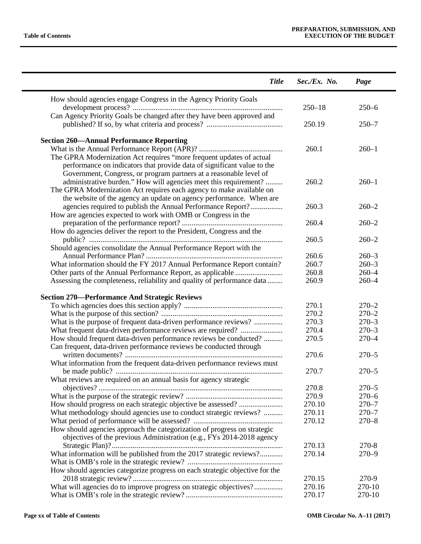| How should agencies engage Congress in the Agency Priority Goals<br>$250 - 18$<br>Can Agency Priority Goals be changed after they have been approved and<br>250.19<br><b>Section 260—Annual Performance Reporting</b><br>260.1<br>$260 - 1$<br>The GPRA Modernization Act requires "more frequent updates of actual<br>performance on indicators that provide data of significant value to the<br>Government, Congress, or program partners at a reasonable level of<br>administrative burden." How will agencies meet this requirement?<br>260.2<br>$260 - 1$<br>The GPRA Modernization Act requires each agency to make available on<br>the website of the agency an update on agency performance. When are<br>agencies required to publish the Annual Performance Report?<br>260.3<br>$260 - 2$<br>How are agencies expected to work with OMB or Congress in the<br>260.4<br>$260 - 2$<br>How do agencies deliver the report to the President, Congress and the<br>260.5<br>$260 - 2$<br>Should agencies consolidate the Annual Performance Report with the<br>260.6<br>$260 - 3$<br>What information should the FY 2017 Annual Performance Report contain?<br>260.7<br>$260 - 3$<br>260.8<br>$260 - 4$<br>260.9<br>$260 - 4$<br>Assessing the completeness, reliability and quality of performance data<br>270.1<br>$270 - 2$<br>270.2<br>$270 - 2$<br>What is the purpose of frequent data-driven performance reviews?<br>270.3<br>$270 - 3$<br>270.4<br>What frequent data-driven performance reviews are required?<br>270.5<br>How should frequent data-driven performance reviews be conducted?<br>Can frequent, data-driven performance reviews be conducted through<br>270.6<br>What information from the frequent data-driven performance reviews must<br>270.7<br>What reviews are required on an annual basis for agency strategic<br>270.8<br>270.9<br>270.10<br>What methodology should agencies use to conduct strategic reviews?<br>270.11<br>270.12<br>How should agencies approach the categorization of progress on strategic<br>objectives of the previous Administration (e.g., FYs 2014-2018 agency<br>270.13<br>270-8<br>What information will be published from the 2017 strategic reviews?<br>270.14<br>$270 - 9$<br>How should agencies categorize progress on each strategic objective for the<br>270.15<br>270-9<br>What will agencies do to improve progress on strategic objectives?<br>270.16 | <b>Title</b>                                         | Sec./Ex. No. | Page             |
|-------------------------------------------------------------------------------------------------------------------------------------------------------------------------------------------------------------------------------------------------------------------------------------------------------------------------------------------------------------------------------------------------------------------------------------------------------------------------------------------------------------------------------------------------------------------------------------------------------------------------------------------------------------------------------------------------------------------------------------------------------------------------------------------------------------------------------------------------------------------------------------------------------------------------------------------------------------------------------------------------------------------------------------------------------------------------------------------------------------------------------------------------------------------------------------------------------------------------------------------------------------------------------------------------------------------------------------------------------------------------------------------------------------------------------------------------------------------------------------------------------------------------------------------------------------------------------------------------------------------------------------------------------------------------------------------------------------------------------------------------------------------------------------------------------------------------------------------------------------------------------------------------------------------------------------------------------------------------------------------------------------------------------------------------------------------------------------------------------------------------------------------------------------------------------------------------------------------------------------------------------------------------------------------------------------------------------------------------------------------------------------------------------------------------------|------------------------------------------------------|--------------|------------------|
|                                                                                                                                                                                                                                                                                                                                                                                                                                                                                                                                                                                                                                                                                                                                                                                                                                                                                                                                                                                                                                                                                                                                                                                                                                                                                                                                                                                                                                                                                                                                                                                                                                                                                                                                                                                                                                                                                                                                                                                                                                                                                                                                                                                                                                                                                                                                                                                                                               |                                                      |              |                  |
|                                                                                                                                                                                                                                                                                                                                                                                                                                                                                                                                                                                                                                                                                                                                                                                                                                                                                                                                                                                                                                                                                                                                                                                                                                                                                                                                                                                                                                                                                                                                                                                                                                                                                                                                                                                                                                                                                                                                                                                                                                                                                                                                                                                                                                                                                                                                                                                                                               |                                                      |              | $250 - 6$        |
|                                                                                                                                                                                                                                                                                                                                                                                                                                                                                                                                                                                                                                                                                                                                                                                                                                                                                                                                                                                                                                                                                                                                                                                                                                                                                                                                                                                                                                                                                                                                                                                                                                                                                                                                                                                                                                                                                                                                                                                                                                                                                                                                                                                                                                                                                                                                                                                                                               |                                                      |              | $250 - 7$        |
|                                                                                                                                                                                                                                                                                                                                                                                                                                                                                                                                                                                                                                                                                                                                                                                                                                                                                                                                                                                                                                                                                                                                                                                                                                                                                                                                                                                                                                                                                                                                                                                                                                                                                                                                                                                                                                                                                                                                                                                                                                                                                                                                                                                                                                                                                                                                                                                                                               |                                                      |              |                  |
|                                                                                                                                                                                                                                                                                                                                                                                                                                                                                                                                                                                                                                                                                                                                                                                                                                                                                                                                                                                                                                                                                                                                                                                                                                                                                                                                                                                                                                                                                                                                                                                                                                                                                                                                                                                                                                                                                                                                                                                                                                                                                                                                                                                                                                                                                                                                                                                                                               |                                                      |              |                  |
|                                                                                                                                                                                                                                                                                                                                                                                                                                                                                                                                                                                                                                                                                                                                                                                                                                                                                                                                                                                                                                                                                                                                                                                                                                                                                                                                                                                                                                                                                                                                                                                                                                                                                                                                                                                                                                                                                                                                                                                                                                                                                                                                                                                                                                                                                                                                                                                                                               |                                                      |              |                  |
|                                                                                                                                                                                                                                                                                                                                                                                                                                                                                                                                                                                                                                                                                                                                                                                                                                                                                                                                                                                                                                                                                                                                                                                                                                                                                                                                                                                                                                                                                                                                                                                                                                                                                                                                                                                                                                                                                                                                                                                                                                                                                                                                                                                                                                                                                                                                                                                                                               |                                                      |              |                  |
|                                                                                                                                                                                                                                                                                                                                                                                                                                                                                                                                                                                                                                                                                                                                                                                                                                                                                                                                                                                                                                                                                                                                                                                                                                                                                                                                                                                                                                                                                                                                                                                                                                                                                                                                                                                                                                                                                                                                                                                                                                                                                                                                                                                                                                                                                                                                                                                                                               |                                                      |              |                  |
|                                                                                                                                                                                                                                                                                                                                                                                                                                                                                                                                                                                                                                                                                                                                                                                                                                                                                                                                                                                                                                                                                                                                                                                                                                                                                                                                                                                                                                                                                                                                                                                                                                                                                                                                                                                                                                                                                                                                                                                                                                                                                                                                                                                                                                                                                                                                                                                                                               |                                                      |              |                  |
|                                                                                                                                                                                                                                                                                                                                                                                                                                                                                                                                                                                                                                                                                                                                                                                                                                                                                                                                                                                                                                                                                                                                                                                                                                                                                                                                                                                                                                                                                                                                                                                                                                                                                                                                                                                                                                                                                                                                                                                                                                                                                                                                                                                                                                                                                                                                                                                                                               |                                                      |              |                  |
|                                                                                                                                                                                                                                                                                                                                                                                                                                                                                                                                                                                                                                                                                                                                                                                                                                                                                                                                                                                                                                                                                                                                                                                                                                                                                                                                                                                                                                                                                                                                                                                                                                                                                                                                                                                                                                                                                                                                                                                                                                                                                                                                                                                                                                                                                                                                                                                                                               |                                                      |              |                  |
|                                                                                                                                                                                                                                                                                                                                                                                                                                                                                                                                                                                                                                                                                                                                                                                                                                                                                                                                                                                                                                                                                                                                                                                                                                                                                                                                                                                                                                                                                                                                                                                                                                                                                                                                                                                                                                                                                                                                                                                                                                                                                                                                                                                                                                                                                                                                                                                                                               |                                                      |              |                  |
|                                                                                                                                                                                                                                                                                                                                                                                                                                                                                                                                                                                                                                                                                                                                                                                                                                                                                                                                                                                                                                                                                                                                                                                                                                                                                                                                                                                                                                                                                                                                                                                                                                                                                                                                                                                                                                                                                                                                                                                                                                                                                                                                                                                                                                                                                                                                                                                                                               |                                                      |              |                  |
|                                                                                                                                                                                                                                                                                                                                                                                                                                                                                                                                                                                                                                                                                                                                                                                                                                                                                                                                                                                                                                                                                                                                                                                                                                                                                                                                                                                                                                                                                                                                                                                                                                                                                                                                                                                                                                                                                                                                                                                                                                                                                                                                                                                                                                                                                                                                                                                                                               |                                                      |              |                  |
|                                                                                                                                                                                                                                                                                                                                                                                                                                                                                                                                                                                                                                                                                                                                                                                                                                                                                                                                                                                                                                                                                                                                                                                                                                                                                                                                                                                                                                                                                                                                                                                                                                                                                                                                                                                                                                                                                                                                                                                                                                                                                                                                                                                                                                                                                                                                                                                                                               |                                                      |              |                  |
|                                                                                                                                                                                                                                                                                                                                                                                                                                                                                                                                                                                                                                                                                                                                                                                                                                                                                                                                                                                                                                                                                                                                                                                                                                                                                                                                                                                                                                                                                                                                                                                                                                                                                                                                                                                                                                                                                                                                                                                                                                                                                                                                                                                                                                                                                                                                                                                                                               |                                                      |              |                  |
|                                                                                                                                                                                                                                                                                                                                                                                                                                                                                                                                                                                                                                                                                                                                                                                                                                                                                                                                                                                                                                                                                                                                                                                                                                                                                                                                                                                                                                                                                                                                                                                                                                                                                                                                                                                                                                                                                                                                                                                                                                                                                                                                                                                                                                                                                                                                                                                                                               |                                                      |              |                  |
|                                                                                                                                                                                                                                                                                                                                                                                                                                                                                                                                                                                                                                                                                                                                                                                                                                                                                                                                                                                                                                                                                                                                                                                                                                                                                                                                                                                                                                                                                                                                                                                                                                                                                                                                                                                                                                                                                                                                                                                                                                                                                                                                                                                                                                                                                                                                                                                                                               |                                                      |              |                  |
|                                                                                                                                                                                                                                                                                                                                                                                                                                                                                                                                                                                                                                                                                                                                                                                                                                                                                                                                                                                                                                                                                                                                                                                                                                                                                                                                                                                                                                                                                                                                                                                                                                                                                                                                                                                                                                                                                                                                                                                                                                                                                                                                                                                                                                                                                                                                                                                                                               |                                                      |              |                  |
|                                                                                                                                                                                                                                                                                                                                                                                                                                                                                                                                                                                                                                                                                                                                                                                                                                                                                                                                                                                                                                                                                                                                                                                                                                                                                                                                                                                                                                                                                                                                                                                                                                                                                                                                                                                                                                                                                                                                                                                                                                                                                                                                                                                                                                                                                                                                                                                                                               |                                                      |              |                  |
|                                                                                                                                                                                                                                                                                                                                                                                                                                                                                                                                                                                                                                                                                                                                                                                                                                                                                                                                                                                                                                                                                                                                                                                                                                                                                                                                                                                                                                                                                                                                                                                                                                                                                                                                                                                                                                                                                                                                                                                                                                                                                                                                                                                                                                                                                                                                                                                                                               |                                                      |              |                  |
|                                                                                                                                                                                                                                                                                                                                                                                                                                                                                                                                                                                                                                                                                                                                                                                                                                                                                                                                                                                                                                                                                                                                                                                                                                                                                                                                                                                                                                                                                                                                                                                                                                                                                                                                                                                                                                                                                                                                                                                                                                                                                                                                                                                                                                                                                                                                                                                                                               |                                                      |              |                  |
|                                                                                                                                                                                                                                                                                                                                                                                                                                                                                                                                                                                                                                                                                                                                                                                                                                                                                                                                                                                                                                                                                                                                                                                                                                                                                                                                                                                                                                                                                                                                                                                                                                                                                                                                                                                                                                                                                                                                                                                                                                                                                                                                                                                                                                                                                                                                                                                                                               | <b>Section 270-Performance And Strategic Reviews</b> |              |                  |
|                                                                                                                                                                                                                                                                                                                                                                                                                                                                                                                                                                                                                                                                                                                                                                                                                                                                                                                                                                                                                                                                                                                                                                                                                                                                                                                                                                                                                                                                                                                                                                                                                                                                                                                                                                                                                                                                                                                                                                                                                                                                                                                                                                                                                                                                                                                                                                                                                               |                                                      |              |                  |
|                                                                                                                                                                                                                                                                                                                                                                                                                                                                                                                                                                                                                                                                                                                                                                                                                                                                                                                                                                                                                                                                                                                                                                                                                                                                                                                                                                                                                                                                                                                                                                                                                                                                                                                                                                                                                                                                                                                                                                                                                                                                                                                                                                                                                                                                                                                                                                                                                               |                                                      |              |                  |
|                                                                                                                                                                                                                                                                                                                                                                                                                                                                                                                                                                                                                                                                                                                                                                                                                                                                                                                                                                                                                                                                                                                                                                                                                                                                                                                                                                                                                                                                                                                                                                                                                                                                                                                                                                                                                                                                                                                                                                                                                                                                                                                                                                                                                                                                                                                                                                                                                               |                                                      |              |                  |
|                                                                                                                                                                                                                                                                                                                                                                                                                                                                                                                                                                                                                                                                                                                                                                                                                                                                                                                                                                                                                                                                                                                                                                                                                                                                                                                                                                                                                                                                                                                                                                                                                                                                                                                                                                                                                                                                                                                                                                                                                                                                                                                                                                                                                                                                                                                                                                                                                               |                                                      |              | $270 - 3$        |
|                                                                                                                                                                                                                                                                                                                                                                                                                                                                                                                                                                                                                                                                                                                                                                                                                                                                                                                                                                                                                                                                                                                                                                                                                                                                                                                                                                                                                                                                                                                                                                                                                                                                                                                                                                                                                                                                                                                                                                                                                                                                                                                                                                                                                                                                                                                                                                                                                               |                                                      |              | $270 - 4$        |
|                                                                                                                                                                                                                                                                                                                                                                                                                                                                                                                                                                                                                                                                                                                                                                                                                                                                                                                                                                                                                                                                                                                                                                                                                                                                                                                                                                                                                                                                                                                                                                                                                                                                                                                                                                                                                                                                                                                                                                                                                                                                                                                                                                                                                                                                                                                                                                                                                               |                                                      |              |                  |
|                                                                                                                                                                                                                                                                                                                                                                                                                                                                                                                                                                                                                                                                                                                                                                                                                                                                                                                                                                                                                                                                                                                                                                                                                                                                                                                                                                                                                                                                                                                                                                                                                                                                                                                                                                                                                                                                                                                                                                                                                                                                                                                                                                                                                                                                                                                                                                                                                               |                                                      |              | $270 - 5$        |
|                                                                                                                                                                                                                                                                                                                                                                                                                                                                                                                                                                                                                                                                                                                                                                                                                                                                                                                                                                                                                                                                                                                                                                                                                                                                                                                                                                                                                                                                                                                                                                                                                                                                                                                                                                                                                                                                                                                                                                                                                                                                                                                                                                                                                                                                                                                                                                                                                               |                                                      |              |                  |
|                                                                                                                                                                                                                                                                                                                                                                                                                                                                                                                                                                                                                                                                                                                                                                                                                                                                                                                                                                                                                                                                                                                                                                                                                                                                                                                                                                                                                                                                                                                                                                                                                                                                                                                                                                                                                                                                                                                                                                                                                                                                                                                                                                                                                                                                                                                                                                                                                               |                                                      |              | $270 - 5$        |
|                                                                                                                                                                                                                                                                                                                                                                                                                                                                                                                                                                                                                                                                                                                                                                                                                                                                                                                                                                                                                                                                                                                                                                                                                                                                                                                                                                                                                                                                                                                                                                                                                                                                                                                                                                                                                                                                                                                                                                                                                                                                                                                                                                                                                                                                                                                                                                                                                               |                                                      |              |                  |
|                                                                                                                                                                                                                                                                                                                                                                                                                                                                                                                                                                                                                                                                                                                                                                                                                                                                                                                                                                                                                                                                                                                                                                                                                                                                                                                                                                                                                                                                                                                                                                                                                                                                                                                                                                                                                                                                                                                                                                                                                                                                                                                                                                                                                                                                                                                                                                                                                               |                                                      |              | $270 - 5$        |
|                                                                                                                                                                                                                                                                                                                                                                                                                                                                                                                                                                                                                                                                                                                                                                                                                                                                                                                                                                                                                                                                                                                                                                                                                                                                                                                                                                                                                                                                                                                                                                                                                                                                                                                                                                                                                                                                                                                                                                                                                                                                                                                                                                                                                                                                                                                                                                                                                               |                                                      |              | $270 - 6$        |
|                                                                                                                                                                                                                                                                                                                                                                                                                                                                                                                                                                                                                                                                                                                                                                                                                                                                                                                                                                                                                                                                                                                                                                                                                                                                                                                                                                                                                                                                                                                                                                                                                                                                                                                                                                                                                                                                                                                                                                                                                                                                                                                                                                                                                                                                                                                                                                                                                               |                                                      |              | $270 - 7$        |
|                                                                                                                                                                                                                                                                                                                                                                                                                                                                                                                                                                                                                                                                                                                                                                                                                                                                                                                                                                                                                                                                                                                                                                                                                                                                                                                                                                                                                                                                                                                                                                                                                                                                                                                                                                                                                                                                                                                                                                                                                                                                                                                                                                                                                                                                                                                                                                                                                               |                                                      |              | $270 - 7$        |
|                                                                                                                                                                                                                                                                                                                                                                                                                                                                                                                                                                                                                                                                                                                                                                                                                                                                                                                                                                                                                                                                                                                                                                                                                                                                                                                                                                                                                                                                                                                                                                                                                                                                                                                                                                                                                                                                                                                                                                                                                                                                                                                                                                                                                                                                                                                                                                                                                               |                                                      |              | $270 - 8$        |
|                                                                                                                                                                                                                                                                                                                                                                                                                                                                                                                                                                                                                                                                                                                                                                                                                                                                                                                                                                                                                                                                                                                                                                                                                                                                                                                                                                                                                                                                                                                                                                                                                                                                                                                                                                                                                                                                                                                                                                                                                                                                                                                                                                                                                                                                                                                                                                                                                               |                                                      |              |                  |
|                                                                                                                                                                                                                                                                                                                                                                                                                                                                                                                                                                                                                                                                                                                                                                                                                                                                                                                                                                                                                                                                                                                                                                                                                                                                                                                                                                                                                                                                                                                                                                                                                                                                                                                                                                                                                                                                                                                                                                                                                                                                                                                                                                                                                                                                                                                                                                                                                               |                                                      |              |                  |
|                                                                                                                                                                                                                                                                                                                                                                                                                                                                                                                                                                                                                                                                                                                                                                                                                                                                                                                                                                                                                                                                                                                                                                                                                                                                                                                                                                                                                                                                                                                                                                                                                                                                                                                                                                                                                                                                                                                                                                                                                                                                                                                                                                                                                                                                                                                                                                                                                               |                                                      |              |                  |
|                                                                                                                                                                                                                                                                                                                                                                                                                                                                                                                                                                                                                                                                                                                                                                                                                                                                                                                                                                                                                                                                                                                                                                                                                                                                                                                                                                                                                                                                                                                                                                                                                                                                                                                                                                                                                                                                                                                                                                                                                                                                                                                                                                                                                                                                                                                                                                                                                               |                                                      |              |                  |
|                                                                                                                                                                                                                                                                                                                                                                                                                                                                                                                                                                                                                                                                                                                                                                                                                                                                                                                                                                                                                                                                                                                                                                                                                                                                                                                                                                                                                                                                                                                                                                                                                                                                                                                                                                                                                                                                                                                                                                                                                                                                                                                                                                                                                                                                                                                                                                                                                               |                                                      |              |                  |
|                                                                                                                                                                                                                                                                                                                                                                                                                                                                                                                                                                                                                                                                                                                                                                                                                                                                                                                                                                                                                                                                                                                                                                                                                                                                                                                                                                                                                                                                                                                                                                                                                                                                                                                                                                                                                                                                                                                                                                                                                                                                                                                                                                                                                                                                                                                                                                                                                               |                                                      |              |                  |
|                                                                                                                                                                                                                                                                                                                                                                                                                                                                                                                                                                                                                                                                                                                                                                                                                                                                                                                                                                                                                                                                                                                                                                                                                                                                                                                                                                                                                                                                                                                                                                                                                                                                                                                                                                                                                                                                                                                                                                                                                                                                                                                                                                                                                                                                                                                                                                                                                               |                                                      |              |                  |
| 270.17                                                                                                                                                                                                                                                                                                                                                                                                                                                                                                                                                                                                                                                                                                                                                                                                                                                                                                                                                                                                                                                                                                                                                                                                                                                                                                                                                                                                                                                                                                                                                                                                                                                                                                                                                                                                                                                                                                                                                                                                                                                                                                                                                                                                                                                                                                                                                                                                                        |                                                      |              | 270-10<br>270-10 |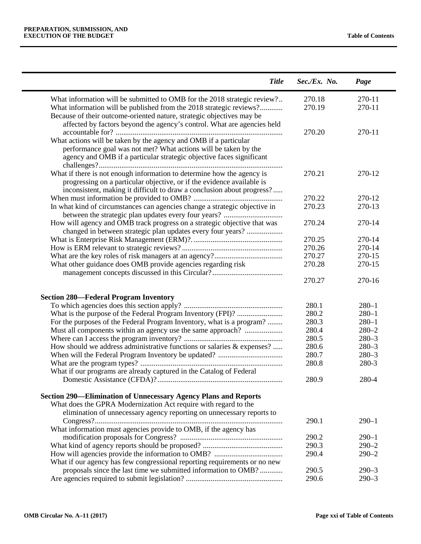| <b>Title</b>                                                                                                                                                                                                               | Sec./Ex. No. | Page      |
|----------------------------------------------------------------------------------------------------------------------------------------------------------------------------------------------------------------------------|--------------|-----------|
| What information will be submitted to OMB for the 2018 strategic review?                                                                                                                                                   | 270.18       | 270-11    |
| What information will be published from the 2018 strategic reviews?<br>Because of their outcome-oriented nature, strategic objectives may be                                                                               | 270.19       | 270-11    |
| affected by factors beyond the agency's control. What are agencies held                                                                                                                                                    |              |           |
| What actions will be taken by the agency and OMB if a particular<br>performance goal was not met? What actions will be taken by the<br>agency and OMB if a particular strategic objective faces significant                | 270.20       | 270-11    |
| What if there is not enough information to determine how the agency is<br>progressing on a particular objective, or if the evidence available is<br>inconsistent, making it difficult to draw a conclusion about progress? | 270.21       | 270-12    |
|                                                                                                                                                                                                                            | 270.22       | 270-12    |
| In what kind of circumstances can agencies change a strategic objective in<br>between the strategic plan updates every four years?                                                                                         | 270.23       | 270-13    |
| How will agency and OMB track progress on a strategic objective that was<br>changed in between strategic plan updates every four years?                                                                                    | 270.24       | 270-14    |
|                                                                                                                                                                                                                            | 270.25       | 270-14    |
|                                                                                                                                                                                                                            | 270.26       | 270-14    |
|                                                                                                                                                                                                                            | 270.27       | 270-15    |
| What other guidance does OMB provide agencies regarding risk                                                                                                                                                               | 270.28       | 270-15    |
|                                                                                                                                                                                                                            | 270.27       | 270-16    |
| <b>Section 280-Federal Program Inventory</b>                                                                                                                                                                               |              |           |
|                                                                                                                                                                                                                            | 280.1        | $280 - 1$ |
|                                                                                                                                                                                                                            | 280.2        | $280 - 1$ |
| For the purposes of the Federal Program Inventory, what is a program?                                                                                                                                                      | 280.3        | $280 - 1$ |
| Must all components within an agency use the same approach?                                                                                                                                                                | 280.4        | $280 - 2$ |
|                                                                                                                                                                                                                            | 280.5        | $280 - 3$ |
| How should we address administrative functions or salaries & expenses?                                                                                                                                                     | 280.6        | $280 - 3$ |
|                                                                                                                                                                                                                            | 280.7        | $280 - 3$ |
|                                                                                                                                                                                                                            | 280.8        | 280-3     |
| What if our programs are already captured in the Catalog of Federal                                                                                                                                                        |              |           |
|                                                                                                                                                                                                                            | 280.9        | 280-4     |
| <b>Section 290—Elimination of Unnecessary Agency Plans and Reports</b>                                                                                                                                                     |              |           |
| What does the GPRA Modernization Act require with regard to the                                                                                                                                                            |              |           |
| elimination of unnecessary agency reporting on unnecessary reports to                                                                                                                                                      |              |           |
|                                                                                                                                                                                                                            | 290.1        | $290 - 1$ |
| What information must agencies provide to OMB, if the agency has                                                                                                                                                           |              |           |
|                                                                                                                                                                                                                            | 290.2        | $290 - 1$ |
|                                                                                                                                                                                                                            | 290.3        | $290 - 2$ |
|                                                                                                                                                                                                                            | 290.4        | $290 - 2$ |
| What if our agency has few congressional reporting requirements or no new                                                                                                                                                  |              |           |
| proposals since the last time we submitted information to OMB?                                                                                                                                                             | 290.5        | $290 - 3$ |
|                                                                                                                                                                                                                            | 290.6        | $290 - 3$ |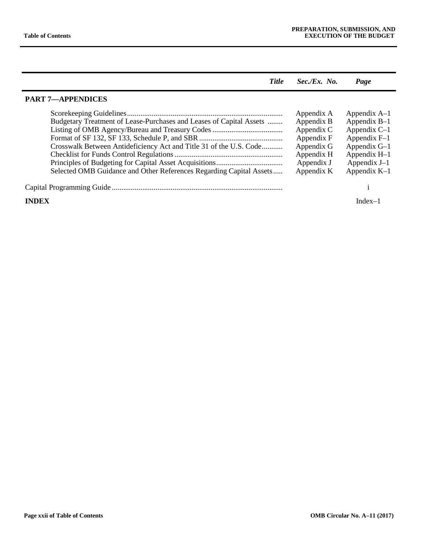| <b>Title</b>                                                                                                                                                                                                     | $Sec./Ex.$ No.                                                                                               | Page                                                                                                                                       |
|------------------------------------------------------------------------------------------------------------------------------------------------------------------------------------------------------------------|--------------------------------------------------------------------------------------------------------------|--------------------------------------------------------------------------------------------------------------------------------------------|
| <b>PART 7-APPENDICES</b>                                                                                                                                                                                         |                                                                                                              |                                                                                                                                            |
| Budgetary Treatment of Lease-Purchases and Leases of Capital Assets<br>Crosswalk Between Antideficiency Act and Title 31 of the U.S. Code<br>Selected OMB Guidance and Other References Regarding Capital Assets | Appendix A<br>Appendix B<br>Appendix C<br>Appendix F<br>Appendix G<br>Appendix H<br>Appendix J<br>Appendix K | Appendix $A-1$<br>Appendix $B-1$<br>Appendix $C-1$<br>Appendix $F-1$<br>Appendix $G-1$<br>Appendix H-1<br>Appendix $J-1$<br>Appendix $K-1$ |
|                                                                                                                                                                                                                  |                                                                                                              |                                                                                                                                            |
| <b>INDEX</b>                                                                                                                                                                                                     |                                                                                                              | Index $-$                                                                                                                                  |